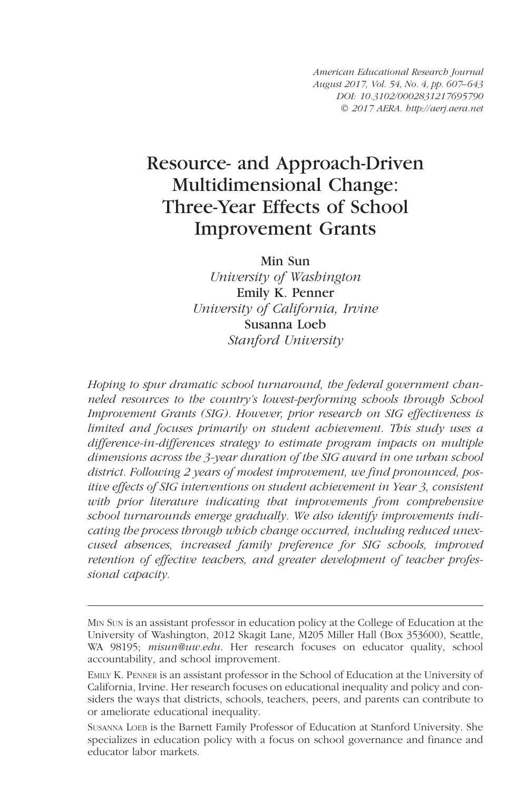American Educational Research Journal August 2017, Vol. 54, No. 4, pp. 607–643 DOI: [10.3102/0002831217695790](http://doi.org/10.3102/0002831217695790) © 2017 AERA. http://aerj.aera.net

# Resource- and Approach-Driven Multidimensional Change: Three-Year Effects of School Improvement Grants

Min Sun

University of Washington Emily K. Penner University of California, Irvine Susanna Loeb Stanford University

Hoping to spur dramatic school turnaround, the federal government channeled resources to the country's lowest-performing schools through School Improvement Grants (SIG). However, prior research on SIG effectiveness is limited and focuses primarily on student achievement. This study uses a difference-in-differences strategy to estimate program impacts on multiple dimensions across the 3-year duration of the SIG award in one urban school district. Following 2 years of modest improvement, we find pronounced, positive effects of SIG interventions on student achievement in Year 3, consistent with prior literature indicating that improvements from comprehensive school turnarounds emerge gradually. We also identify improvements indicating the process through which change occurred, including reduced unexcused absences, increased family preference for SIG schools, improved retention of effective teachers, and greater development of teacher professional capacity.

MIN SUN is an assistant professor in education policy at the College of Education at the University of Washington, 2012 Skagit Lane, M205 Miller Hall (Box 353600), Seattle, WA 98195; *misun@uw.edu*. Her research focuses on educator quality, school accountability, and school improvement.

EMILY K. PENNER is an assistant professor in the School of Education at the University of California, Irvine. Her research focuses on educational inequality and policy and considers the ways that districts, schools, teachers, peers, and parents can contribute to or ameliorate educational inequality.

SUSANNA LOEB is the Barnett Family Professor of Education at Stanford University. She specializes in education policy with a focus on school governance and finance and educator labor markets.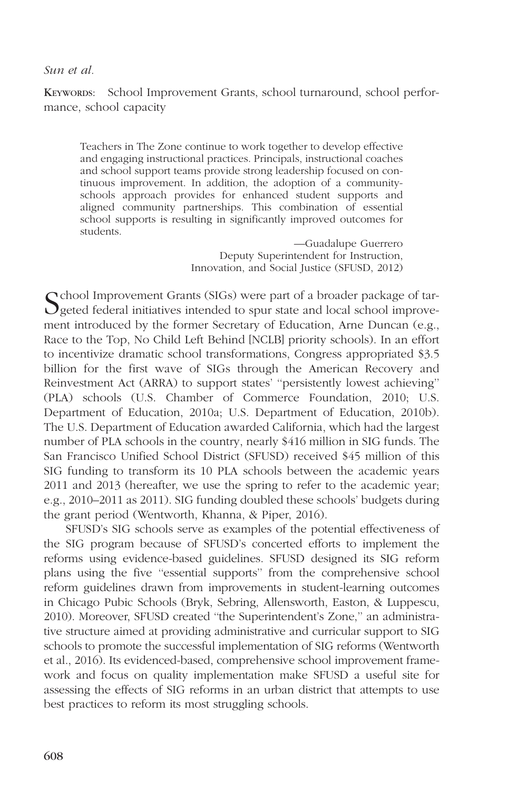KEYWORDS: School Improvement Grants, school turnaround, school performance, school capacity

Teachers in The Zone continue to work together to develop effective and engaging instructional practices. Principals, instructional coaches and school support teams provide strong leadership focused on continuous improvement. In addition, the adoption of a communityschools approach provides for enhanced student supports and aligned community partnerships. This combination of essential school supports is resulting in significantly improved outcomes for students.

> —Guadalupe Guerrero Deputy Superintendent for Instruction, Innovation, and Social Justice (SFUSD, 2012)

School Improvement Grants (SIGs) were part of a broader package of tar-<br>Seted federal initiatives intended to spur state and local school improvement introduced by the former Secretary of Education, Arne Duncan (e.g., Race to the Top, No Child Left Behind [NCLB] priority schools). In an effort to incentivize dramatic school transformations, Congress appropriated \$3.5 billion for the first wave of SIGs through the American Recovery and Reinvestment Act (ARRA) to support states' ''persistently lowest achieving'' (PLA) schools (U.S. Chamber of Commerce Foundation, 2010; U.S. Department of Education, 2010a; U.S. Department of Education, 2010b). The U.S. Department of Education awarded California, which had the largest number of PLA schools in the country, nearly \$416 million in SIG funds. The San Francisco Unified School District (SFUSD) received \$45 million of this SIG funding to transform its 10 PLA schools between the academic years 2011 and 2013 (hereafter, we use the spring to refer to the academic year; e.g., 2010–2011 as 2011). SIG funding doubled these schools' budgets during the grant period (Wentworth, Khanna, & Piper, 2016).

SFUSD's SIG schools serve as examples of the potential effectiveness of the SIG program because of SFUSD's concerted efforts to implement the reforms using evidence-based guidelines. SFUSD designed its SIG reform plans using the five ''essential supports'' from the comprehensive school reform guidelines drawn from improvements in student-learning outcomes in Chicago Pubic Schools (Bryk, Sebring, Allensworth, Easton, & Luppescu, 2010). Moreover, SFUSD created ''the Superintendent's Zone,'' an administrative structure aimed at providing administrative and curricular support to SIG schools to promote the successful implementation of SIG reforms (Wentworth et al., 2016). Its evidenced-based, comprehensive school improvement framework and focus on quality implementation make SFUSD a useful site for assessing the effects of SIG reforms in an urban district that attempts to use best practices to reform its most struggling schools.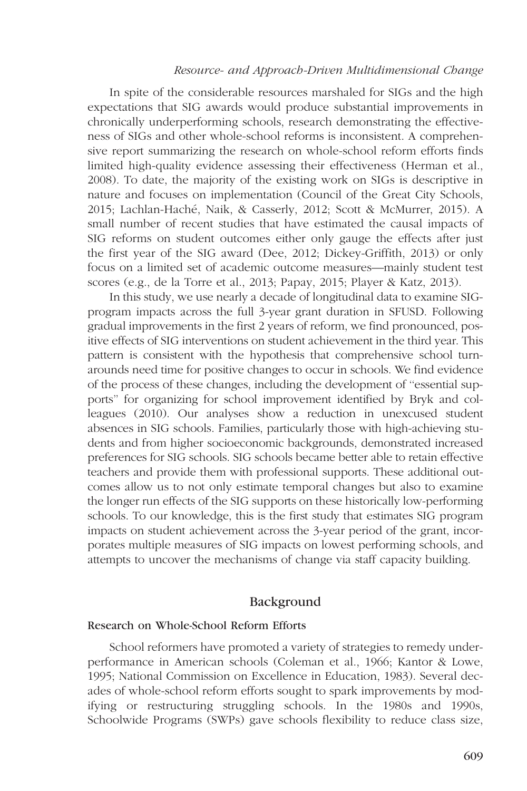#### Resource- and Approach-Driven Multidimensional Change

In spite of the considerable resources marshaled for SIGs and the high expectations that SIG awards would produce substantial improvements in chronically underperforming schools, research demonstrating the effectiveness of SIGs and other whole-school reforms is inconsistent. A comprehensive report summarizing the research on whole-school reform efforts finds limited high-quality evidence assessing their effectiveness (Herman et al., 2008). To date, the majority of the existing work on SIGs is descriptive in nature and focuses on implementation (Council of the Great City Schools, 2015; Lachlan-Haché, Naik, & Casserly, 2012; Scott & McMurrer, 2015). A small number of recent studies that have estimated the causal impacts of SIG reforms on student outcomes either only gauge the effects after just the first year of the SIG award (Dee, 2012; Dickey-Griffith, 2013) or only focus on a limited set of academic outcome measures—mainly student test scores (e.g., de la Torre et al., 2013; Papay, 2015; Player & Katz, 2013).

In this study, we use nearly a decade of longitudinal data to examine SIGprogram impacts across the full 3-year grant duration in SFUSD. Following gradual improvements in the first 2 years of reform, we find pronounced, positive effects of SIG interventions on student achievement in the third year. This pattern is consistent with the hypothesis that comprehensive school turnarounds need time for positive changes to occur in schools. We find evidence of the process of these changes, including the development of ''essential supports'' for organizing for school improvement identified by Bryk and colleagues (2010). Our analyses show a reduction in unexcused student absences in SIG schools. Families, particularly those with high-achieving students and from higher socioeconomic backgrounds, demonstrated increased preferences for SIG schools. SIG schools became better able to retain effective teachers and provide them with professional supports. These additional outcomes allow us to not only estimate temporal changes but also to examine the longer run effects of the SIG supports on these historically low-performing schools. To our knowledge, this is the first study that estimates SIG program impacts on student achievement across the 3-year period of the grant, incorporates multiple measures of SIG impacts on lowest performing schools, and attempts to uncover the mechanisms of change via staff capacity building.

## Background

#### Research on Whole-School Reform Efforts

School reformers have promoted a variety of strategies to remedy underperformance in American schools (Coleman et al., 1966; Kantor & Lowe, 1995; National Commission on Excellence in Education, 1983). Several decades of whole-school reform efforts sought to spark improvements by modifying or restructuring struggling schools. In the 1980s and 1990s, Schoolwide Programs (SWPs) gave schools flexibility to reduce class size,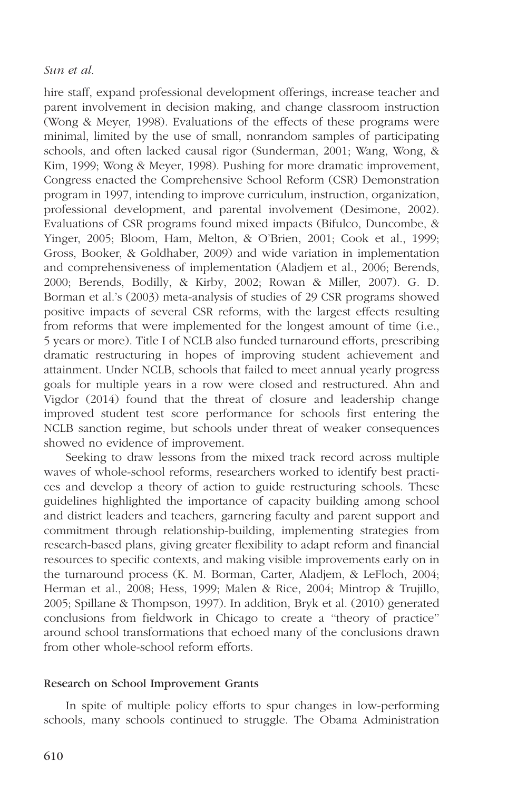hire staff, expand professional development offerings, increase teacher and parent involvement in decision making, and change classroom instruction (Wong & Meyer, 1998). Evaluations of the effects of these programs were minimal, limited by the use of small, nonrandom samples of participating schools, and often lacked causal rigor (Sunderman, 2001; Wang, Wong, & Kim, 1999; Wong & Meyer, 1998). Pushing for more dramatic improvement, Congress enacted the Comprehensive School Reform (CSR) Demonstration program in 1997, intending to improve curriculum, instruction, organization, professional development, and parental involvement (Desimone, 2002). Evaluations of CSR programs found mixed impacts (Bifulco, Duncombe, & Yinger, 2005; Bloom, Ham, Melton, & O'Brien, 2001; Cook et al., 1999; Gross, Booker, & Goldhaber, 2009) and wide variation in implementation and comprehensiveness of implementation (Aladjem et al., 2006; Berends, 2000; Berends, Bodilly, & Kirby, 2002; Rowan & Miller, 2007). G. D. Borman et al.'s (2003) meta-analysis of studies of 29 CSR programs showed positive impacts of several CSR reforms, with the largest effects resulting from reforms that were implemented for the longest amount of time (i.e., 5 years or more). Title I of NCLB also funded turnaround efforts, prescribing dramatic restructuring in hopes of improving student achievement and attainment. Under NCLB, schools that failed to meet annual yearly progress goals for multiple years in a row were closed and restructured. Ahn and Vigdor (2014) found that the threat of closure and leadership change improved student test score performance for schools first entering the NCLB sanction regime, but schools under threat of weaker consequences showed no evidence of improvement.

Seeking to draw lessons from the mixed track record across multiple waves of whole-school reforms, researchers worked to identify best practices and develop a theory of action to guide restructuring schools. These guidelines highlighted the importance of capacity building among school and district leaders and teachers, garnering faculty and parent support and commitment through relationship-building, implementing strategies from research-based plans, giving greater flexibility to adapt reform and financial resources to specific contexts, and making visible improvements early on in the turnaround process (K. M. Borman, Carter, Aladjem, & LeFloch, 2004; Herman et al., 2008; Hess, 1999; Malen & Rice, 2004; Mintrop & Trujillo, 2005; Spillane & Thompson, 1997). In addition, Bryk et al. (2010) generated conclusions from fieldwork in Chicago to create a ''theory of practice'' around school transformations that echoed many of the conclusions drawn from other whole-school reform efforts.

# Research on School Improvement Grants

In spite of multiple policy efforts to spur changes in low-performing schools, many schools continued to struggle. The Obama Administration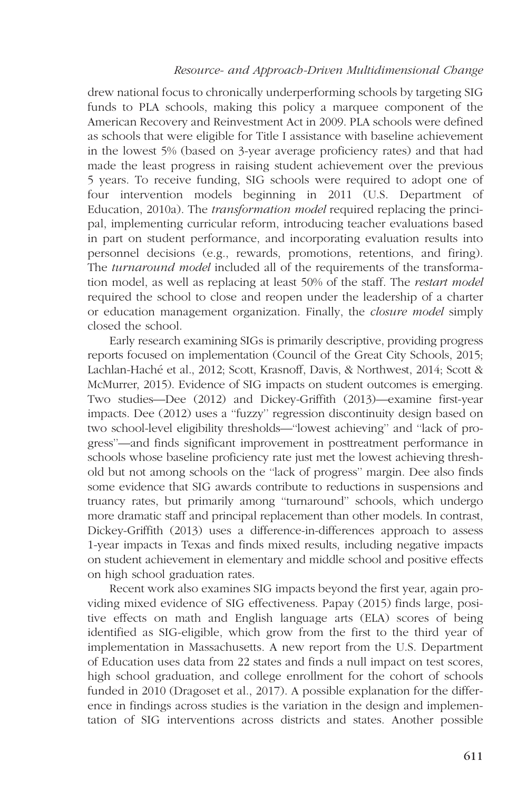# Resource- and Approach-Driven Multidimensional Change

drew national focus to chronically underperforming schools by targeting SIG funds to PLA schools, making this policy a marquee component of the American Recovery and Reinvestment Act in 2009. PLA schools were defined as schools that were eligible for Title I assistance with baseline achievement in the lowest 5% (based on 3-year average proficiency rates) and that had made the least progress in raising student achievement over the previous 5 years. To receive funding, SIG schools were required to adopt one of four intervention models beginning in 2011 (U.S. Department of Education, 2010a). The *transformation model* required replacing the principal, implementing curricular reform, introducing teacher evaluations based in part on student performance, and incorporating evaluation results into personnel decisions (e.g., rewards, promotions, retentions, and firing). The turnaround model included all of the requirements of the transformation model, as well as replacing at least 50% of the staff. The restart model required the school to close and reopen under the leadership of a charter or education management organization. Finally, the closure model simply closed the school.

Early research examining SIGs is primarily descriptive, providing progress reports focused on implementation (Council of the Great City Schools, 2015; Lachlan-Haché et al., 2012; Scott, Krasnoff, Davis, & Northwest, 2014; Scott & McMurrer, 2015). Evidence of SIG impacts on student outcomes is emerging. Two studies—Dee (2012) and Dickey-Griffith (2013)—examine first-year impacts. Dee (2012) uses a ''fuzzy'' regression discontinuity design based on two school-level eligibility thresholds—''lowest achieving'' and ''lack of progress''—and finds significant improvement in posttreatment performance in schools whose baseline proficiency rate just met the lowest achieving threshold but not among schools on the ''lack of progress'' margin. Dee also finds some evidence that SIG awards contribute to reductions in suspensions and truancy rates, but primarily among ''turnaround'' schools, which undergo more dramatic staff and principal replacement than other models. In contrast, Dickey-Griffith (2013) uses a difference-in-differences approach to assess 1-year impacts in Texas and finds mixed results, including negative impacts on student achievement in elementary and middle school and positive effects on high school graduation rates.

Recent work also examines SIG impacts beyond the first year, again providing mixed evidence of SIG effectiveness. Papay (2015) finds large, positive effects on math and English language arts (ELA) scores of being identified as SIG-eligible, which grow from the first to the third year of implementation in Massachusetts. A new report from the U.S. Department of Education uses data from 22 states and finds a null impact on test scores, high school graduation, and college enrollment for the cohort of schools funded in 2010 (Dragoset et al., 2017). A possible explanation for the difference in findings across studies is the variation in the design and implementation of SIG interventions across districts and states. Another possible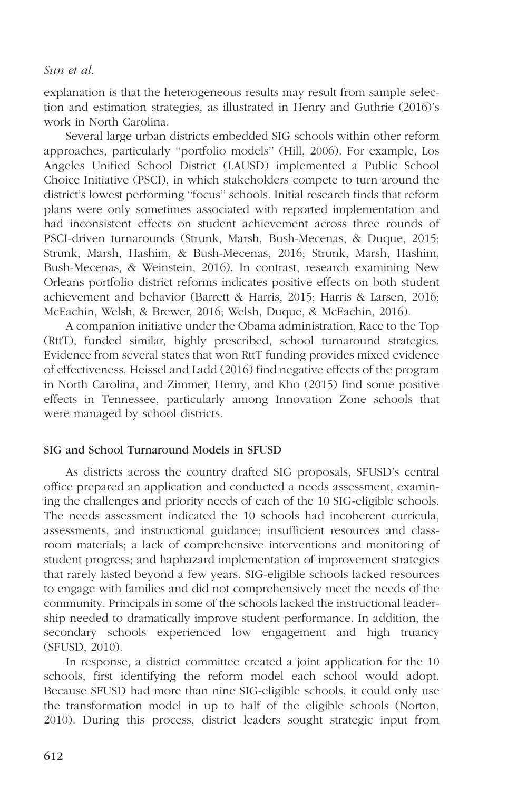explanation is that the heterogeneous results may result from sample selection and estimation strategies, as illustrated in Henry and Guthrie (2016)'s work in North Carolina.

Several large urban districts embedded SIG schools within other reform approaches, particularly ''portfolio models'' (Hill, 2006). For example, Los Angeles Unified School District (LAUSD) implemented a Public School Choice Initiative (PSCI), in which stakeholders compete to turn around the district's lowest performing ''focus'' schools. Initial research finds that reform plans were only sometimes associated with reported implementation and had inconsistent effects on student achievement across three rounds of PSCI-driven turnarounds (Strunk, Marsh, Bush-Mecenas, & Duque, 2015; Strunk, Marsh, Hashim, & Bush-Mecenas, 2016; Strunk, Marsh, Hashim, Bush-Mecenas, & Weinstein, 2016). In contrast, research examining New Orleans portfolio district reforms indicates positive effects on both student achievement and behavior (Barrett & Harris, 2015; Harris & Larsen, 2016; McEachin, Welsh, & Brewer, 2016; Welsh, Duque, & McEachin, 2016).

A companion initiative under the Obama administration, Race to the Top (RttT), funded similar, highly prescribed, school turnaround strategies. Evidence from several states that won RttT funding provides mixed evidence of effectiveness. Heissel and Ladd (2016) find negative effects of the program in North Carolina, and Zimmer, Henry, and Kho (2015) find some positive effects in Tennessee, particularly among Innovation Zone schools that were managed by school districts.

# SIG and School Turnaround Models in SFUSD

As districts across the country drafted SIG proposals, SFUSD's central office prepared an application and conducted a needs assessment, examining the challenges and priority needs of each of the 10 SIG-eligible schools. The needs assessment indicated the 10 schools had incoherent curricula, assessments, and instructional guidance; insufficient resources and classroom materials; a lack of comprehensive interventions and monitoring of student progress; and haphazard implementation of improvement strategies that rarely lasted beyond a few years. SIG-eligible schools lacked resources to engage with families and did not comprehensively meet the needs of the community. Principals in some of the schools lacked the instructional leadership needed to dramatically improve student performance. In addition, the secondary schools experienced low engagement and high truancy (SFUSD, 2010).

In response, a district committee created a joint application for the 10 schools, first identifying the reform model each school would adopt. Because SFUSD had more than nine SIG-eligible schools, it could only use the transformation model in up to half of the eligible schools (Norton, 2010). During this process, district leaders sought strategic input from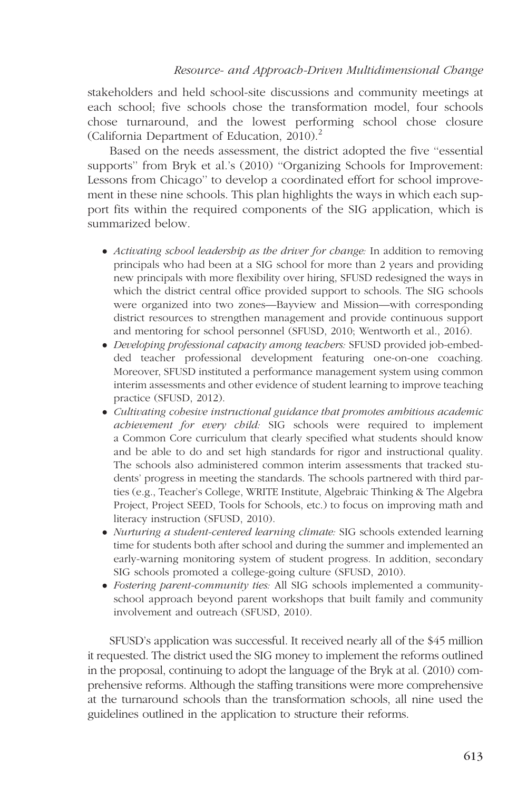stakeholders and held school-site discussions and community meetings at each school; five schools chose the transformation model, four schools chose turnaround, and the lowest performing school chose closure (California Department of Education, 2010).<sup>2</sup>

Based on the needs assessment, the district adopted the five ''essential supports'' from Bryk et al.'s (2010) ''Organizing Schools for Improvement: Lessons from Chicago'' to develop a coordinated effort for school improvement in these nine schools. This plan highlights the ways in which each support fits within the required components of the SIG application, which is summarized below.

- Activating school leadership as the driver for change: In addition to removing principals who had been at a SIG school for more than 2 years and providing new principals with more flexibility over hiring, SFUSD redesigned the ways in which the district central office provided support to schools. The SIG schools were organized into two zones—Bayview and Mission—with corresponding district resources to strengthen management and provide continuous support and mentoring for school personnel (SFUSD, 2010; Wentworth et al., 2016).
- Developing professional capacity among teachers: SFUSD provided job-embedded teacher professional development featuring one-on-one coaching. Moreover, SFUSD instituted a performance management system using common interim assessments and other evidence of student learning to improve teaching practice (SFUSD, 2012).
- Cultivating cobesive instructional guidance that promotes ambitious academic achievement for every child: SIG schools were required to implement a Common Core curriculum that clearly specified what students should know and be able to do and set high standards for rigor and instructional quality. The schools also administered common interim assessments that tracked students' progress in meeting the standards. The schools partnered with third parties (e.g., Teacher's College, WRITE Institute, Algebraic Thinking & The Algebra Project, Project SEED, Tools for Schools, etc.) to focus on improving math and literacy instruction (SFUSD, 2010).
- Nurturing a student-centered learning climate: SIG schools extended learning time for students both after school and during the summer and implemented an early-warning monitoring system of student progress. In addition, secondary SIG schools promoted a college-going culture (SFUSD, 2010).
- Fostering parent-community ties: All SIG schools implemented a communityschool approach beyond parent workshops that built family and community involvement and outreach (SFUSD, 2010).

SFUSD's application was successful. It received nearly all of the \$45 million it requested. The district used the SIG money to implement the reforms outlined in the proposal, continuing to adopt the language of the Bryk at al. (2010) comprehensive reforms. Although the staffing transitions were more comprehensive at the turnaround schools than the transformation schools, all nine used the guidelines outlined in the application to structure their reforms.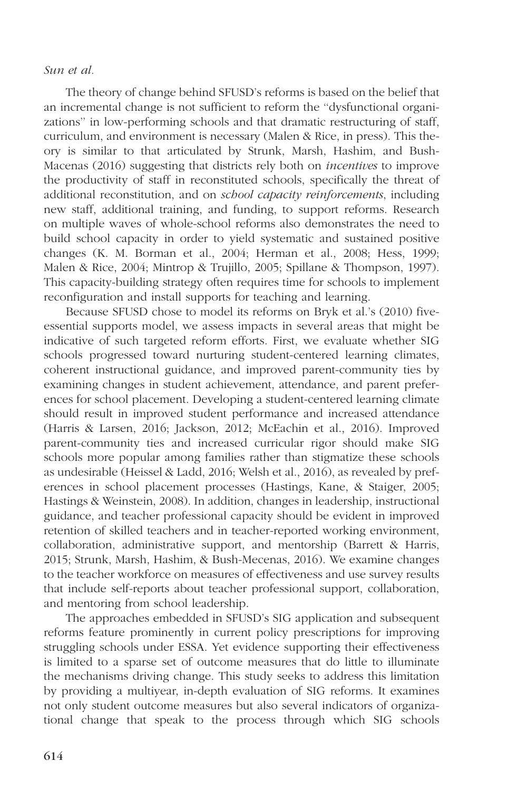The theory of change behind SFUSD's reforms is based on the belief that an incremental change is not sufficient to reform the ''dysfunctional organizations'' in low-performing schools and that dramatic restructuring of staff, curriculum, and environment is necessary (Malen & Rice, in press). This theory is similar to that articulated by Strunk, Marsh, Hashim, and Bush-Macenas (2016) suggesting that districts rely both on *incentives* to improve the productivity of staff in reconstituted schools, specifically the threat of additional reconstitution, and on *school capacity reinforcements*, including new staff, additional training, and funding, to support reforms. Research on multiple waves of whole-school reforms also demonstrates the need to build school capacity in order to yield systematic and sustained positive changes (K. M. Borman et al., 2004; Herman et al., 2008; Hess, 1999; Malen & Rice, 2004; Mintrop & Trujillo, 2005; Spillane & Thompson, 1997). This capacity-building strategy often requires time for schools to implement reconfiguration and install supports for teaching and learning.

Because SFUSD chose to model its reforms on Bryk et al.'s (2010) fiveessential supports model, we assess impacts in several areas that might be indicative of such targeted reform efforts. First, we evaluate whether SIG schools progressed toward nurturing student-centered learning climates, coherent instructional guidance, and improved parent-community ties by examining changes in student achievement, attendance, and parent preferences for school placement. Developing a student-centered learning climate should result in improved student performance and increased attendance (Harris & Larsen, 2016; Jackson, 2012; McEachin et al., 2016). Improved parent-community ties and increased curricular rigor should make SIG schools more popular among families rather than stigmatize these schools as undesirable (Heissel & Ladd, 2016; Welsh et al., 2016), as revealed by preferences in school placement processes (Hastings, Kane, & Staiger, 2005; Hastings & Weinstein, 2008). In addition, changes in leadership, instructional guidance, and teacher professional capacity should be evident in improved retention of skilled teachers and in teacher-reported working environment, collaboration, administrative support, and mentorship (Barrett & Harris, 2015; Strunk, Marsh, Hashim, & Bush-Mecenas, 2016). We examine changes to the teacher workforce on measures of effectiveness and use survey results that include self-reports about teacher professional support, collaboration, and mentoring from school leadership.

The approaches embedded in SFUSD's SIG application and subsequent reforms feature prominently in current policy prescriptions for improving struggling schools under ESSA. Yet evidence supporting their effectiveness is limited to a sparse set of outcome measures that do little to illuminate the mechanisms driving change. This study seeks to address this limitation by providing a multiyear, in-depth evaluation of SIG reforms. It examines not only student outcome measures but also several indicators of organizational change that speak to the process through which SIG schools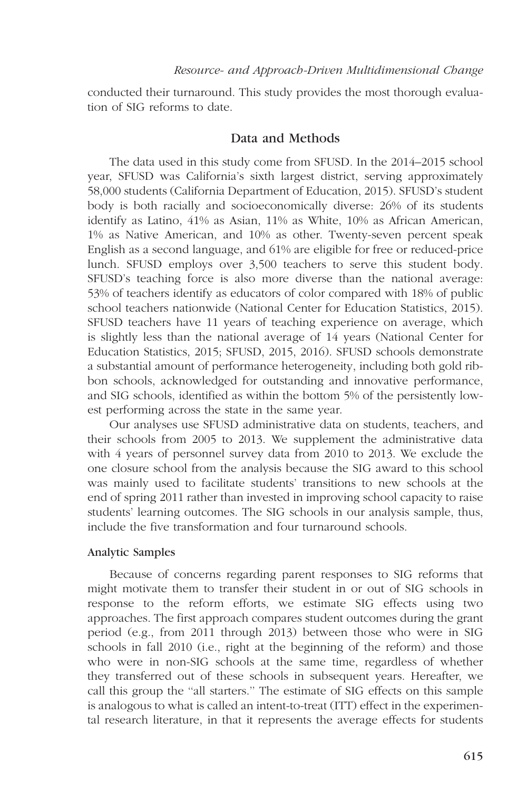conducted their turnaround. This study provides the most thorough evaluation of SIG reforms to date.

# Data and Methods

The data used in this study come from SFUSD. In the 2014–2015 school year, SFUSD was California's sixth largest district, serving approximately 58,000 students (California Department of Education, 2015). SFUSD's student body is both racially and socioeconomically diverse: 26% of its students identify as Latino, 41% as Asian, 11% as White, 10% as African American, 1% as Native American, and 10% as other. Twenty-seven percent speak English as a second language, and 61% are eligible for free or reduced-price lunch. SFUSD employs over 3,500 teachers to serve this student body. SFUSD's teaching force is also more diverse than the national average: 53% of teachers identify as educators of color compared with 18% of public school teachers nationwide (National Center for Education Statistics, 2015). SFUSD teachers have 11 years of teaching experience on average, which is slightly less than the national average of 14 years (National Center for Education Statistics, 2015; SFUSD, 2015, 2016). SFUSD schools demonstrate a substantial amount of performance heterogeneity, including both gold ribbon schools, acknowledged for outstanding and innovative performance, and SIG schools, identified as within the bottom 5% of the persistently lowest performing across the state in the same year.

Our analyses use SFUSD administrative data on students, teachers, and their schools from 2005 to 2013. We supplement the administrative data with 4 years of personnel survey data from 2010 to 2013. We exclude the one closure school from the analysis because the SIG award to this school was mainly used to facilitate students' transitions to new schools at the end of spring 2011 rather than invested in improving school capacity to raise students' learning outcomes. The SIG schools in our analysis sample, thus, include the five transformation and four turnaround schools.

## Analytic Samples

Because of concerns regarding parent responses to SIG reforms that might motivate them to transfer their student in or out of SIG schools in response to the reform efforts, we estimate SIG effects using two approaches. The first approach compares student outcomes during the grant period (e.g., from 2011 through 2013) between those who were in SIG schools in fall 2010 (i.e., right at the beginning of the reform) and those who were in non-SIG schools at the same time, regardless of whether they transferred out of these schools in subsequent years. Hereafter, we call this group the ''all starters.'' The estimate of SIG effects on this sample is analogous to what is called an intent-to-treat (ITT) effect in the experimental research literature, in that it represents the average effects for students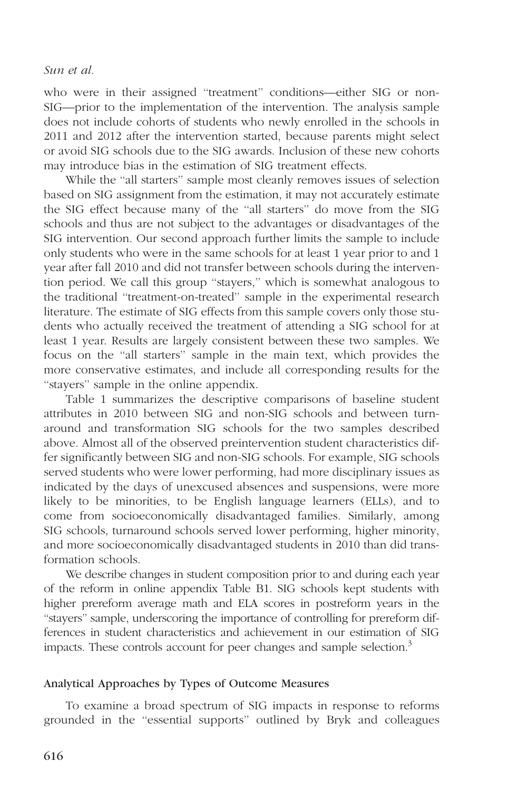who were in their assigned "treatment" conditions—either SIG or non-SIG—prior to the implementation of the intervention. The analysis sample does not include cohorts of students who newly enrolled in the schools in 2011 and 2012 after the intervention started, because parents might select or avoid SIG schools due to the SIG awards. Inclusion of these new cohorts may introduce bias in the estimation of SIG treatment effects.

While the "all starters" sample most cleanly removes issues of selection based on SIG assignment from the estimation, it may not accurately estimate the SIG effect because many of the ''all starters'' do move from the SIG schools and thus are not subject to the advantages or disadvantages of the SIG intervention. Our second approach further limits the sample to include only students who were in the same schools for at least 1 year prior to and 1 year after fall 2010 and did not transfer between schools during the intervention period. We call this group ''stayers,'' which is somewhat analogous to the traditional ''treatment-on-treated'' sample in the experimental research literature. The estimate of SIG effects from this sample covers only those students who actually received the treatment of attending a SIG school for at least 1 year. Results are largely consistent between these two samples. We focus on the ''all starters'' sample in the main text, which provides the more conservative estimates, and include all corresponding results for the ''stayers'' sample in the [online appendix](http://journals.sagepub.com/doi/suppl/10.3102/0002831217695790).

Table 1 summarizes the descriptive comparisons of baseline student attributes in 2010 between SIG and non-SIG schools and between turnaround and transformation SIG schools for the two samples described above. Almost all of the observed preintervention student characteristics differ significantly between SIG and non-SIG schools. For example, SIG schools served students who were lower performing, had more disciplinary issues as indicated by the days of unexcused absences and suspensions, were more likely to be minorities, to be English language learners (ELLs), and to come from socioeconomically disadvantaged families. Similarly, among SIG schools, turnaround schools served lower performing, higher minority, and more socioeconomically disadvantaged students in 2010 than did transformation schools.

We describe changes in student composition prior to and during each year of the reform in online [appendix Table B1.](http://journals.sagepub.com/doi/suppl/10.3102/0002831217695790) SIG schools kept students with higher prereform average math and ELA scores in postreform years in the ''stayers'' sample, underscoring the importance of controlling for prereform differences in student characteristics and achievement in our estimation of SIG impacts. These controls account for peer changes and sample selection.<sup>3</sup>

# Analytical Approaches by Types of Outcome Measures

To examine a broad spectrum of SIG impacts in response to reforms grounded in the ''essential supports'' outlined by Bryk and colleagues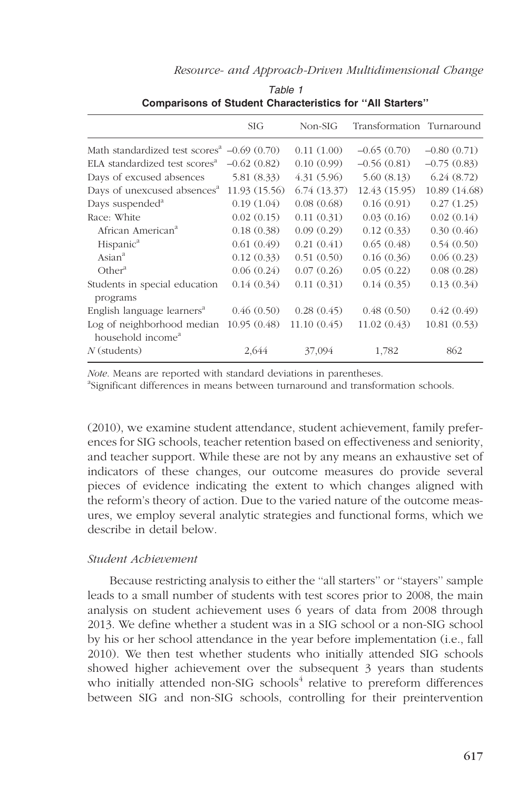| Resource- and Approach-Driven Multidimensional Change |  |  |
|-------------------------------------------------------|--|--|
|-------------------------------------------------------|--|--|

|                                                                        | <b>SIG</b>    | $Non-SIG$   | Transformation Turnaround |               |
|------------------------------------------------------------------------|---------------|-------------|---------------------------|---------------|
| Math standardized test scores <sup><math>4</math></sup> $-0.69$ (0.70) |               | 0.11(1.00)  | $-0.65(0.70)$             | $-0.80(0.71)$ |
| ELA standardized test scores <sup>a</sup>                              | $-0.62(0.82)$ | 0.10(0.99)  | $-0.56(0.81)$             | $-0.75(0.83)$ |
| Days of excused absences                                               | 5.81(8.33)    | 4.31(5.96)  | 5.60(8.13)                | 6.24(8.72)    |
| Days of unexcused absences <sup>a</sup>                                | 11.93(15.56)  | 6.74(13.37) | 12.43 (15.95)             | 10.89 (14.68) |
| Days suspended <sup>a</sup>                                            | 0.19(1.04)    | 0.08(0.68)  | 0.16(0.91)                | 0.27(1.25)    |
| Race: White                                                            | 0.02(0.15)    | 0.11(0.31)  | 0.03(0.16)                | 0.02(0.14)    |
| African American <sup>a</sup>                                          | 0.18(0.38)    | 0.09(0.29)  | 0.12(0.33)                | 0.30(0.46)    |
| Hispanic <sup>a</sup>                                                  | 0.61(0.49)    | 0.21(0.41)  | 0.65(0.48)                | 0.54(0.50)    |
| $\text{Asian}^a$                                                       | 0.12(0.33)    | 0.51(0.50)  | 0.16(0.36)                | 0.06(0.23)    |
| Other <sup>a</sup>                                                     | 0.06(0.24)    | 0.07(0.26)  | 0.05(0.22)                | 0.08(0.28)    |
| Students in special education<br>programs                              | 0.14(0.34)    | 0.11(0.31)  | 0.14(0.35)                | 0.13(0.34)    |
| English language learners <sup>a</sup>                                 | 0.46(0.50)    | 0.28(0.45)  | 0.48(0.50)                | 0.42(0.49)    |
| Log of neighborhood median<br>household income <sup>a</sup>            | 10.95(0.48)   | 11.10(0.45) | 11.02(0.43)               | 10.81(0.53)   |
| $N$ (students)                                                         | 2,644         | 37,094      | 1,782                     | 862           |
|                                                                        |               |             |                           |               |

Table 1 Comparisons of Student Characteristics for ''All Starters''

Note. Means are reported with standard deviations in parentheses.

<sup>a</sup>Significant differences in means between turnaround and transformation schools.

(2010), we examine student attendance, student achievement, family preferences for SIG schools, teacher retention based on effectiveness and seniority, and teacher support. While these are not by any means an exhaustive set of indicators of these changes, our outcome measures do provide several pieces of evidence indicating the extent to which changes aligned with the reform's theory of action. Due to the varied nature of the outcome measures, we employ several analytic strategies and functional forms, which we describe in detail below.

## Student Achievement

Because restricting analysis to either the ''all starters'' or ''stayers'' sample leads to a small number of students with test scores prior to 2008, the main analysis on student achievement uses 6 years of data from 2008 through 2013. We define whether a student was in a SIG school or a non-SIG school by his or her school attendance in the year before implementation (i.e., fall 2010). We then test whether students who initially attended SIG schools showed higher achievement over the subsequent 3 years than students who initially attended non-SIG schools $4$  relative to prereform differences between SIG and non-SIG schools, controlling for their preintervention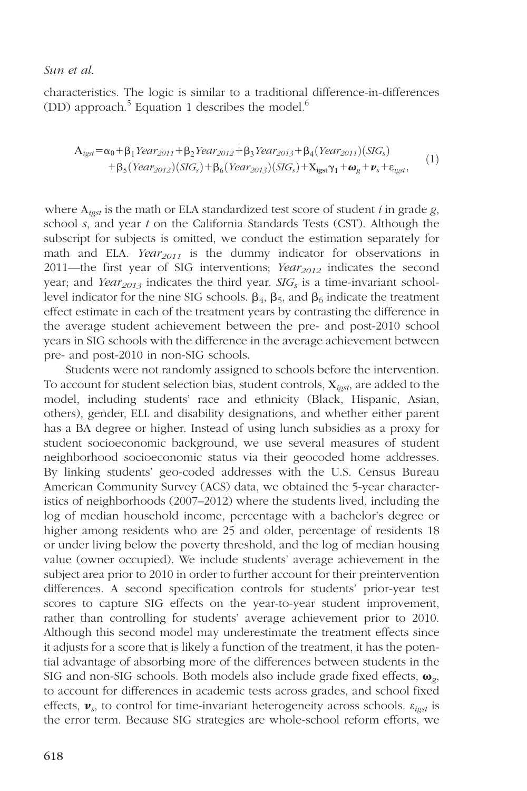characteristics. The logic is similar to a traditional difference-in-differences (DD) approach.<sup>5</sup> Equation 1 describes the model.<sup>6</sup>

$$
Aigst = \alpha_0 + \beta_1 Year2011 + \beta_2 Year2012 + \beta_3 Year2013 + \beta_4 (Year2011)(SIGs)+ \beta_5 (Year2012)(SIGs) + \beta_6 (Year2013)(SIGs) + Xigst  $\gamma_1$  +  $\omega_g$  +  $\nu_s$  +  $\varepsilon_{igst}$ , (1)
$$

where  $A_{\text{test}}$  is the math or ELA standardized test score of student i in grade g, school s, and year t on the California Standards Tests (CST). Although the subscript for subjects is omitted, we conduct the estimation separately for math and ELA. Year<sub>2011</sub> is the dummy indicator for observations in 2011—the first year of SIG interventions; Year $_{2012}$  indicates the second year; and Year<sub>2013</sub> indicates the third year.  $SIG_s$  is a time-invariant schoollevel indicator for the nine SIG schools.  $\beta_4$ ,  $\beta_5$ , and  $\beta_6$  indicate the treatment effect estimate in each of the treatment years by contrasting the difference in the average student achievement between the pre- and post-2010 school years in SIG schools with the difference in the average achievement between pre- and post-2010 in non-SIG schools.

Students were not randomly assigned to schools before the intervention. To account for student selection bias, student controls,  $X_{\text{post}}$ , are added to the model, including students' race and ethnicity (Black, Hispanic, Asian, others), gender, ELL and disability designations, and whether either parent has a BA degree or higher. Instead of using lunch subsidies as a proxy for student socioeconomic background, we use several measures of student neighborhood socioeconomic status via their geocoded home addresses. By linking students' geo-coded addresses with the U.S. Census Bureau American Community Survey (ACS) data, we obtained the 5-year characteristics of neighborhoods (2007–2012) where the students lived, including the log of median household income, percentage with a bachelor's degree or higher among residents who are 25 and older, percentage of residents 18 or under living below the poverty threshold, and the log of median housing value (owner occupied). We include students' average achievement in the subject area prior to 2010 in order to further account for their preintervention differences. A second specification controls for students' prior-year test scores to capture SIG effects on the year-to-year student improvement, rather than controlling for students' average achievement prior to 2010. Although this second model may underestimate the treatment effects since it adjusts for a score that is likely a function of the treatment, it has the potential advantage of absorbing more of the differences between students in the SIG and non-SIG schools. Both models also include grade fixed effects,  $\omega_{\varrho}$ , to account for differences in academic tests across grades, and school fixed effects,  $v_s$ , to control for time-invariant heterogeneity across schools.  $\varepsilon_{i}$  is the error term. Because SIG strategies are whole-school reform efforts, we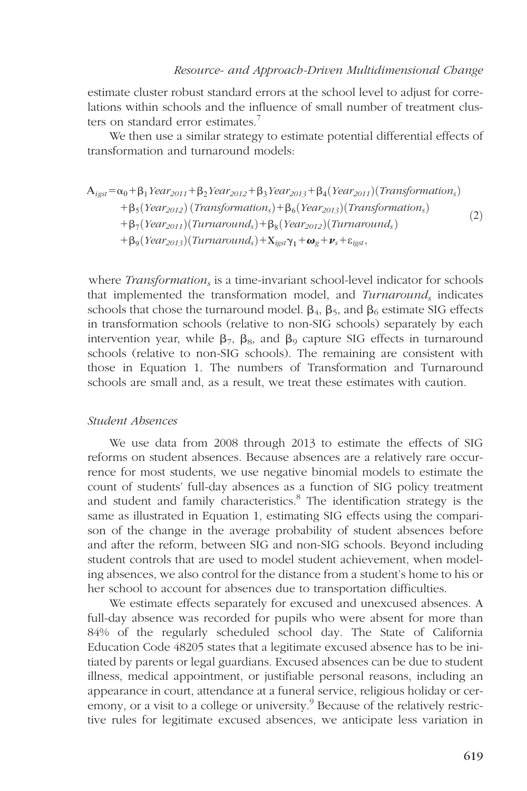estimate cluster robust standard errors at the school level to adjust for correlations within schools and the influence of small number of treatment clusters on standard error estimates.<sup>7</sup>

We then use a similar strategy to estimate potential differential effects of transformation and turnaround models:

$$
A_{igst} = \alpha_0 + \beta_1 Year_{2011} + \beta_2 Year_{2012} + \beta_3 Year_{2013} + \beta_4 (Year_{2011})(Transformation_s)
$$
  
+ 
$$
\beta_5 (Year_{2012}) (Transformation_s) + \beta_6 (Year_{2013}) (Transformation_s)
$$
  
+ 
$$
\beta_7 (Year_{2011}) (Turnaround_s) + \beta_8 (Year_{2012}) (Turnaround_s)
$$
  
+ 
$$
\beta_9 (Year_{2013}) (Turnaround_s) + X_{igst} \gamma_1 + \omega_g + \nu_s + \varepsilon_{igst},
$$
 (2)

where *Transformation*, is a time-invariant school-level indicator for schools that implemented the transformation model, and  $Turnaround_s$  indicates schools that chose the turnaround model.  $\beta_4$ ,  $\beta_5$ , and  $\beta_6$  estimate SIG effects in transformation schools (relative to non-SIG schools) separately by each intervention year, while  $\beta_7$ ,  $\beta_8$ , and  $\beta_9$  capture SIG effects in turnaround schools (relative to non-SIG schools). The remaining are consistent with those in Equation 1. The numbers of Transformation and Turnaround schools are small and, as a result, we treat these estimates with caution.

# Student Absences

We use data from 2008 through 2013 to estimate the effects of SIG reforms on student absences. Because absences are a relatively rare occurrence for most students, we use negative binomial models to estimate the count of students' full-day absences as a function of SIG policy treatment and student and family characteristics.<sup>8</sup> The identification strategy is the same as illustrated in Equation 1, estimating SIG effects using the comparison of the change in the average probability of student absences before and after the reform, between SIG and non-SIG schools. Beyond including student controls that are used to model student achievement, when modeling absences, we also control for the distance from a student's home to his or her school to account for absences due to transportation difficulties.

We estimate effects separately for excused and unexcused absences. A full-day absence was recorded for pupils who were absent for more than 84% of the regularly scheduled school day. The State of California Education Code 48205 states that a legitimate excused absence has to be initiated by parents or legal guardians. Excused absences can be due to student illness, medical appointment, or justifiable personal reasons, including an appearance in court, attendance at a funeral service, religious holiday or ceremony, or a visit to a college or university.<sup>9</sup> Because of the relatively restrictive rules for legitimate excused absences, we anticipate less variation in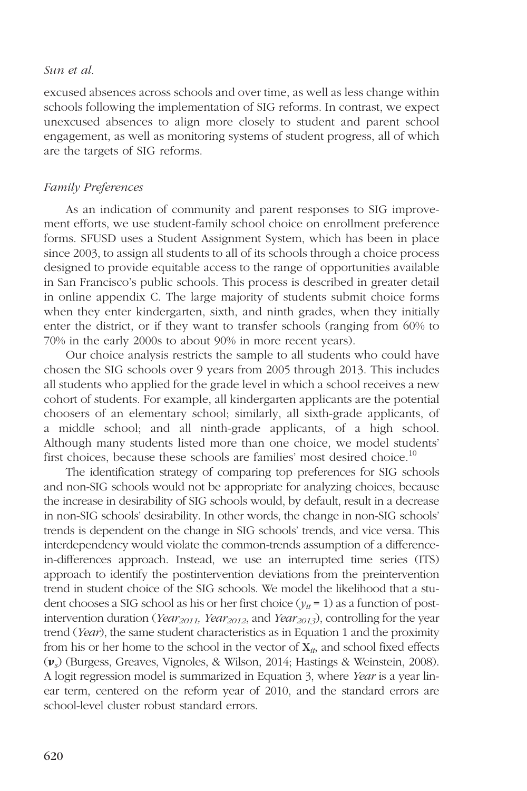excused absences across schools and over time, as well as less change within schools following the implementation of SIG reforms. In contrast, we expect unexcused absences to align more closely to student and parent school engagement, as well as monitoring systems of student progress, all of which are the targets of SIG reforms.

## Family Preferences

As an indication of community and parent responses to SIG improvement efforts, we use student-family school choice on enrollment preference forms. SFUSD uses a Student Assignment System, which has been in place since 2003, to assign all students to all of its schools through a choice process designed to provide equitable access to the range of opportunities available in San Francisco's public schools. This process is described in greater detail in [online appendix C](http://journals.sagepub.com/doi/suppl/10.3102/0002831217695790). The large majority of students submit choice forms when they enter kindergarten, sixth, and ninth grades, when they initially enter the district, or if they want to transfer schools (ranging from 60% to 70% in the early 2000s to about 90% in more recent years).

Our choice analysis restricts the sample to all students who could have chosen the SIG schools over 9 years from 2005 through 2013. This includes all students who applied for the grade level in which a school receives a new cohort of students. For example, all kindergarten applicants are the potential choosers of an elementary school; similarly, all sixth-grade applicants, of a middle school; and all ninth-grade applicants, of a high school. Although many students listed more than one choice, we model students' first choices, because these schools are families' most desired choice.<sup>10</sup>

The identification strategy of comparing top preferences for SIG schools and non-SIG schools would not be appropriate for analyzing choices, because the increase in desirability of SIG schools would, by default, result in a decrease in non-SIG schools' desirability. In other words, the change in non-SIG schools' trends is dependent on the change in SIG schools' trends, and vice versa. This interdependency would violate the common-trends assumption of a differencein-differences approach. Instead, we use an interrupted time series (ITS) approach to identify the postintervention deviations from the preintervention trend in student choice of the SIG schools. We model the likelihood that a student chooses a SIG school as his or her first choice ( $y_{it} = 1$ ) as a function of postintervention duration (Year<sub>2011</sub>, Year<sub>2012</sub>, and Year<sub>2013</sub>), controlling for the year trend (Year), the same student characteristics as in Equation 1 and the proximity from his or her home to the school in the vector of  $X_{i}$ , and school fixed effects  $(v<sub>s</sub>)$  (Burgess, Greaves, Vignoles, & Wilson, 2014; Hastings & Weinstein, 2008). A logit regression model is summarized in Equation 3, where Year is a year linear term, centered on the reform year of 2010, and the standard errors are school-level cluster robust standard errors.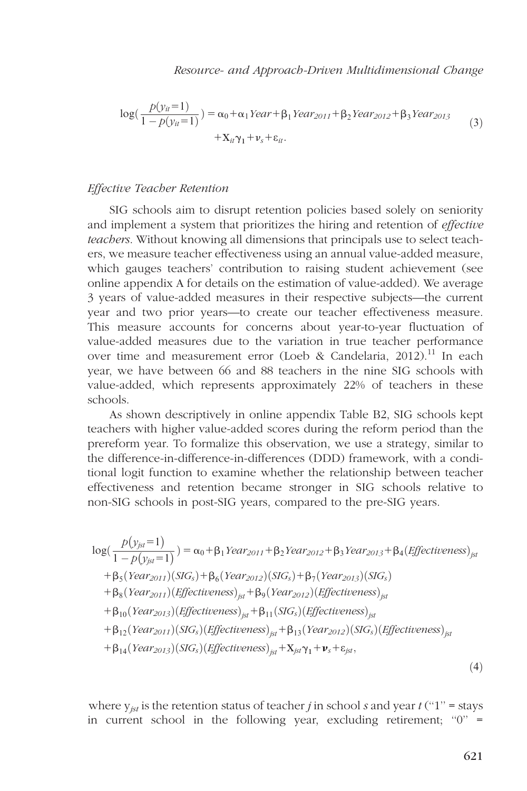$$
\log(\frac{p(y_{it}=1)}{1-p(y_{it}=1)}) = \alpha_0 + \alpha_1 Year + \beta_1 Year_{2011} + \beta_2 Year_{2012} + \beta_3 Year_{2013} + X_{it}\gamma_1 + \nu_s + \varepsilon_{it}.
$$
 (3)

# Effective Teacher Retention

SIG schools aim to disrupt retention policies based solely on seniority and implement a system that prioritizes the hiring and retention of effective teachers. Without knowing all dimensions that principals use to select teachers, we measure teacher effectiveness using an annual value-added measure, which gauges teachers' contribution to raising student achievement (see [online appendix A](http://journals.sagepub.com/doi/suppl/10.3102/0002831217695790) for details on the estimation of value-added). We average 3 years of value-added measures in their respective subjects—the current year and two prior years—to create our teacher effectiveness measure. This measure accounts for concerns about year-to-year fluctuation of value-added measures due to the variation in true teacher performance over time and measurement error (Loeb & Candelaria, 2012).<sup>11</sup> In each year, we have between 66 and 88 teachers in the nine SIG schools with value-added, which represents approximately 22% of teachers in these schools.

As shown descriptively in [online appendix Table B2,](http://journals.sagepub.com/doi/suppl/10.3102/0002831217695790) SIG schools kept teachers with higher value-added scores during the reform period than the prereform year. To formalize this observation, we use a strategy, similar to the difference-in-difference-in-differences (DDD) framework, with a conditional logit function to examine whether the relationship between teacher effectiveness and retention became stronger in SIG schools relative to non-SIG schools in post-SIG years, compared to the pre-SIG years.

$$
log(\frac{p(y_{jst}=1)}{1-p(y_{jst}=1)}) = \alpha_0 + \beta_1 Year_{2011} + \beta_2 Year_{2012} + \beta_3 Year_{2013} + \beta_4 (Effectiveness)_{jst} + \beta_5 (Year_{2011})(SIG_s) + \beta_6 (Year_{2012})(SIG_s) + \beta_7 (Year_{2013})(SIG_s) + \beta_8 (Year_{2011})(Effectiveness)_{jst} + \beta_9 (Year_{2012})(Effectiveness)_{jst} + \beta_{10} (Year_{2013})(Effectiveness)_{jst} + \beta_{11} (SIG_s) (Effectiveness)_{jst} + \beta_{12} (Year_{2011})( SIG_s) (Effectiveness)_{jst} + \beta_{13} (Year_{2012})( SIG_s) (Effectiveness)_{jst} + \beta_{14} (Year_{2013})( SIG_s) (Effectiveness)_{jst} + X_{jst} \gamma_1 + \nu_s + \varepsilon_{jst},
$$
\n(4)

where  $y_{ist}$  is the retention status of teacher *j* in school *s* and year  $t$  ("1" = stays in current school in the following year, excluding retirement;  $"0" =$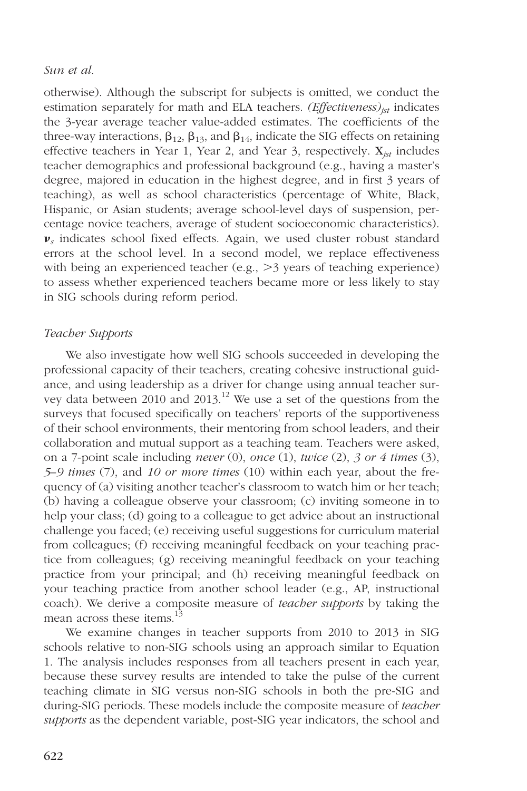otherwise). Although the subscript for subjects is omitted, we conduct the estimation separately for math and ELA teachers.  $(Effectiveness)_{jst}$  indicates the 3-year average teacher value-added estimates. The coefficients of the three-way interactions,  $\beta_{12}$ ,  $\beta_{13}$ , and  $\beta_{14}$ , indicate the SIG effects on retaining effective teachers in Year 1, Year 2, and Year 3, respectively.  $X_{jst}$  includes teacher demographics and professional background (e.g., having a master's degree, majored in education in the highest degree, and in first 3 years of teaching), as well as school characteristics (percentage of White, Black, Hispanic, or Asian students; average school-level days of suspension, percentage novice teachers, average of student socioeconomic characteristics).  $v_s$  indicates school fixed effects. Again, we used cluster robust standard errors at the school level. In a second model, we replace effectiveness with being an experienced teacher (e.g.,  $>3$  years of teaching experience) to assess whether experienced teachers became more or less likely to stay in SIG schools during reform period.

## Teacher Supports

We also investigate how well SIG schools succeeded in developing the professional capacity of their teachers, creating cohesive instructional guidance, and using leadership as a driver for change using annual teacher survey data between 2010 and 2013.<sup>12</sup> We use a set of the questions from the surveys that focused specifically on teachers' reports of the supportiveness of their school environments, their mentoring from school leaders, and their collaboration and mutual support as a teaching team. Teachers were asked, on a 7-point scale including *never* (0), *once* (1), *twice* (2), 3 or 4 *times* (3), 5–9 times (7), and 10 or more times (10) within each year, about the frequency of (a) visiting another teacher's classroom to watch him or her teach; (b) having a colleague observe your classroom; (c) inviting someone in to help your class; (d) going to a colleague to get advice about an instructional challenge you faced; (e) receiving useful suggestions for curriculum material from colleagues; (f) receiving meaningful feedback on your teaching practice from colleagues; (g) receiving meaningful feedback on your teaching practice from your principal; and (h) receiving meaningful feedback on your teaching practice from another school leader (e.g., AP, instructional coach). We derive a composite measure of *teacher supports* by taking the mean across these items. $^{13}$ 

We examine changes in teacher supports from 2010 to 2013 in SIG schools relative to non-SIG schools using an approach similar to Equation 1. The analysis includes responses from all teachers present in each year, because these survey results are intended to take the pulse of the current teaching climate in SIG versus non-SIG schools in both the pre-SIG and during-SIG periods. These models include the composite measure of *teacher* supports as the dependent variable, post-SIG year indicators, the school and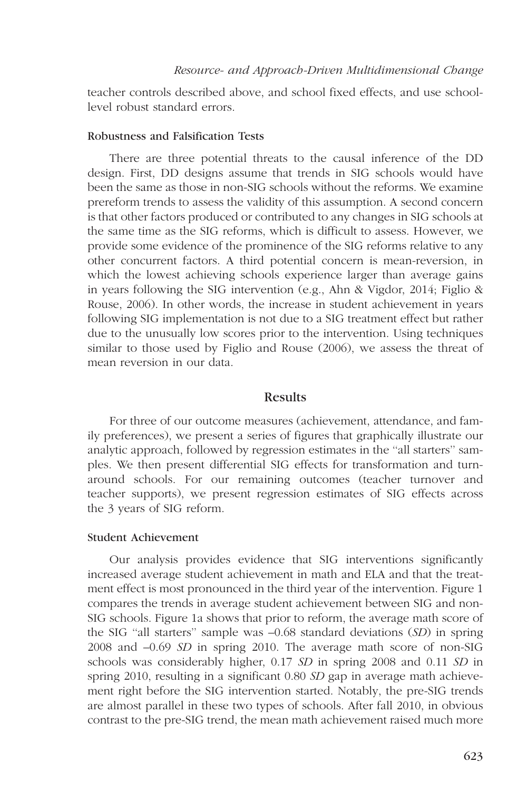teacher controls described above, and school fixed effects, and use schoollevel robust standard errors.

## Robustness and Falsification Tests

There are three potential threats to the causal inference of the DD design. First, DD designs assume that trends in SIG schools would have been the same as those in non-SIG schools without the reforms. We examine prereform trends to assess the validity of this assumption. A second concern is that other factors produced or contributed to any changes in SIG schools at the same time as the SIG reforms, which is difficult to assess. However, we provide some evidence of the prominence of the SIG reforms relative to any other concurrent factors. A third potential concern is mean-reversion, in which the lowest achieving schools experience larger than average gains in years following the SIG intervention (e.g., Ahn & Vigdor, 2014; Figlio & Rouse, 2006). In other words, the increase in student achievement in years following SIG implementation is not due to a SIG treatment effect but rather due to the unusually low scores prior to the intervention. Using techniques similar to those used by Figlio and Rouse (2006), we assess the threat of mean reversion in our data.

# Results

For three of our outcome measures (achievement, attendance, and family preferences), we present a series of figures that graphically illustrate our analytic approach, followed by regression estimates in the ''all starters'' samples. We then present differential SIG effects for transformation and turnaround schools. For our remaining outcomes (teacher turnover and teacher supports), we present regression estimates of SIG effects across the 3 years of SIG reform.

# Student Achievement

Our analysis provides evidence that SIG interventions significantly increased average student achievement in math and ELA and that the treatment effect is most pronounced in the third year of the intervention. Figure 1 compares the trends in average student achievement between SIG and non-SIG schools. Figure 1a shows that prior to reform, the average math score of the SIG ''all starters'' sample was –0.68 standard deviations (SD) in spring 2008 and –0.69 SD in spring 2010. The average math score of non-SIG schools was considerably higher, 0.17 SD in spring 2008 and 0.11 SD in spring 2010, resulting in a significant 0.80 SD gap in average math achievement right before the SIG intervention started. Notably, the pre-SIG trends are almost parallel in these two types of schools. After fall 2010, in obvious contrast to the pre-SIG trend, the mean math achievement raised much more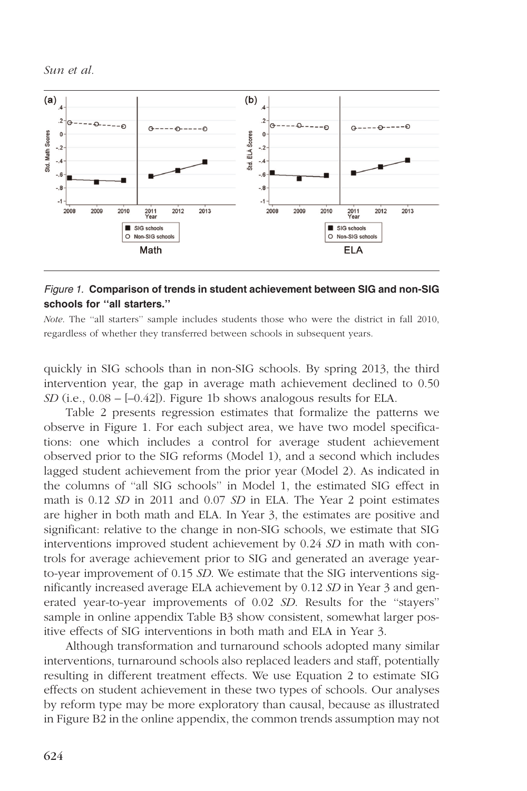

## Figure 1. Comparison of trends in student achievement between SIG and non-SIG schools for ''all starters.''

Note. The "all starters" sample includes students those who were the district in fall 2010, regardless of whether they transferred between schools in subsequent years.

quickly in SIG schools than in non-SIG schools. By spring 2013, the third intervention year, the gap in average math achievement declined to 0.50  $SD$  (i.e.,  $0.08 - [-0.42]$ ). Figure 1b shows analogous results for ELA.

Table 2 presents regression estimates that formalize the patterns we observe in Figure 1. For each subject area, we have two model specifications: one which includes a control for average student achievement observed prior to the SIG reforms (Model 1), and a second which includes lagged student achievement from the prior year (Model 2). As indicated in the columns of ''all SIG schools'' in Model 1, the estimated SIG effect in math is 0.12 SD in 2011 and 0.07 SD in ELA. The Year 2 point estimates are higher in both math and ELA. In Year 3, the estimates are positive and significant: relative to the change in non-SIG schools, we estimate that SIG interventions improved student achievement by 0.24 SD in math with controls for average achievement prior to SIG and generated an average yearto-year improvement of 0.15 SD. We estimate that the SIG interventions significantly increased average ELA achievement by 0.12 SD in Year 3 and generated year-to-year improvements of 0.02 SD. Results for the "stayers" sample in [online appendix Table B3](http://journals.sagepub.com/doi/suppl/10.3102/0002831217695790) show consistent, somewhat larger positive effects of SIG interventions in both math and ELA in Year 3.

Although transformation and turnaround schools adopted many similar interventions, turnaround schools also replaced leaders and staff, potentially resulting in different treatment effects. We use Equation 2 to estimate SIG effects on student achievement in these two types of schools. Our analyses by reform type may be more exploratory than causal, because as illustrated in [Figure B2 in the online appendix](http://journals.sagepub.com/doi/suppl/10.3102/0002831217695790), the common trends assumption may not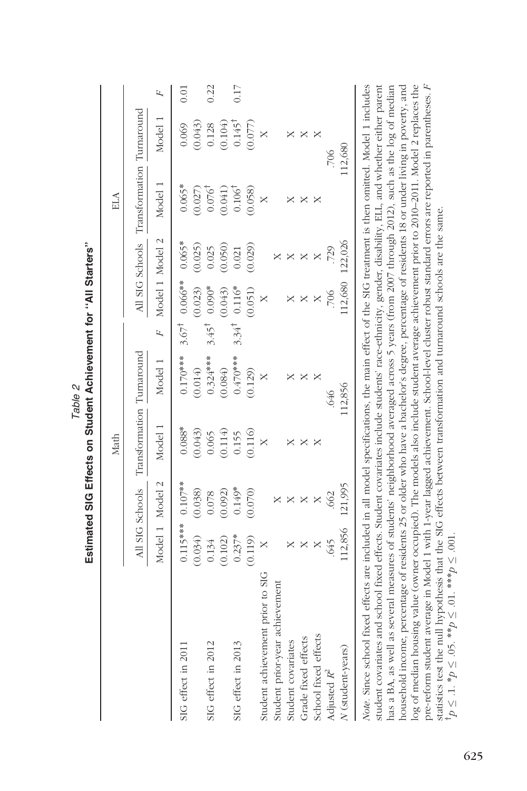|                                  |            |                 | Math                      |            |                  |                                 |          | ELA                                       |                   |      |
|----------------------------------|------------|-----------------|---------------------------|------------|------------------|---------------------------------|----------|-------------------------------------------|-------------------|------|
|                                  |            | All SIG Schools | Transformation Turnaround |            |                  |                                 |          | All SIG Schools Transformation Turnaround |                   |      |
|                                  |            | Model 1 Model 2 | Model 1                   | Model 1    |                  | F Model 1 Model 2               |          | Model                                     | Model 1           | F    |
| SIG effect in 201                | $0.115***$ | $0.107**$       | $0.088*$                  | $0.170***$ |                  | $3.67^{\dagger}$ 0.066** 0.065* |          | $0.065*$                                  | 0.069             | 0.01 |
|                                  | (0.034)    | (0.038)         | (0.043)                   | (0.014)    |                  | (0.023)                         | (0.025)  | (0.027)                                   | (0.043)           |      |
| SIG effect in 2012               | 0.134      | 0.078           | 0.065                     | $0.324***$ | $3.45^{\dagger}$ | $0.090*$                        | 0.025    | $0.076^{\dagger}$                         | 0.128             | 0.22 |
|                                  | (0.102)    | (0.092)         | (0.114)                   | (0.084)    |                  | (0.043)                         | (0.050)  | (0.041)                                   | (0.104)           |      |
| SIG effect in 2013               | $0.237*$   | $0.149*$        | 0.155                     | $0.470***$ | $3.34^{1}$       | $0.116*$                        | 0.021    | 0.106 <sup>†</sup>                        | $0.145^{\dagger}$ | 0.17 |
|                                  | (0.119)    | (0.070)         | (0.116)                   | (0.129)    |                  | (0.051)                         | (0.029)  | (0.058)                                   | (0.077)           |      |
| Student achievement prior to SIG |            |                 |                           |            |                  | $\times$                        |          | $\times$                                  | X                 |      |
| Student prior-year achievement   |            |                 |                           |            |                  |                                 | ×        |                                           |                   |      |
| Student covariates               |            | ×               | ×                         | ×          |                  | ×                               | ×        |                                           | ×                 |      |
| Grade fixed effects              |            | ×               | ×                         |            |                  | ×                               | X        | ×                                         | ×                 |      |
| School fixed effects             | ×          | ×               | ×                         |            |                  | ×                               | $\times$ | ×                                         | ×                 |      |
| Adjusted $R^2$                   | .645       | .662            |                           | .646       |                  | 706                             | .729     |                                           | .706              |      |
| N (student-years)                | 112,856    | 121,995         |                           | 112,856    |                  | 112,680                         | 122,026  |                                           | 112,680           |      |

Estimated QIC Effects on Student Achievement for "All Starters" Estimated SIG Effects on Student Achievement for ''All Starters'' Table 2

log of median housing value (owner occupied). The models also include student average achievement prior to 2010-2011. Model 2 replaces the pre-reform student average in Model 1 with 1-year lagged achievement. School-level cluster robust standard errors are reported in parentheses. F student covariates and school fixed effects. Student covariates include students' race-ethnicity, gender, disability, ELL, and whether either parent has a BA, as well as several measures of students' neighborhood averaged across 5 years (from 2007 through 2012), such as the log of median household income, percentage of residents 25 or older who have a bachelor's degree, percentage of residents 18 or under living in poverty, and pre-reform student average in Model 1 with 1-year lagged achievement. School-level cluster robust standard errors are reported in parentheses. F student covariates and school fixed effects. Student covariates include students' race-ethnicity, gender, disability, ELL, and whether either parent has a BA, as well as several measures of students' neighborhood averaged across 5 years (from 2007 through 2012), such as the log of median household income, percentage of residents 25 or older who have a bachelor's degree, percentage of residents 18 or under living in poverty, and log of median housing value (owner occupied). The models also include student average achievement prior to 2010–2011. Model 2 replaces the statistics test the null hypothesis that the SIG effects between transformation and turnaround schools are the same. statistics test the null hypothesis that the SIG effects between transformation and turnaround schools are the same.  $p'p \leq 1$ ,  $p \leq 0$ 5,  $\frac{1}{2}$   $\frac{1}{2}$   $\frac{1}{2}$   $\frac{1}{2}$   $\frac{1}{2}$   $\frac{1}{2}$   $\frac{1}{2}$   $\frac{1}{2}$   $\frac{1}{2}$   $\frac{1}{2}$   $\frac{1}{2}$  $y^{\dagger}p \leq 1. *p \leq 05. *p \leq 01. ***p \leq 001.$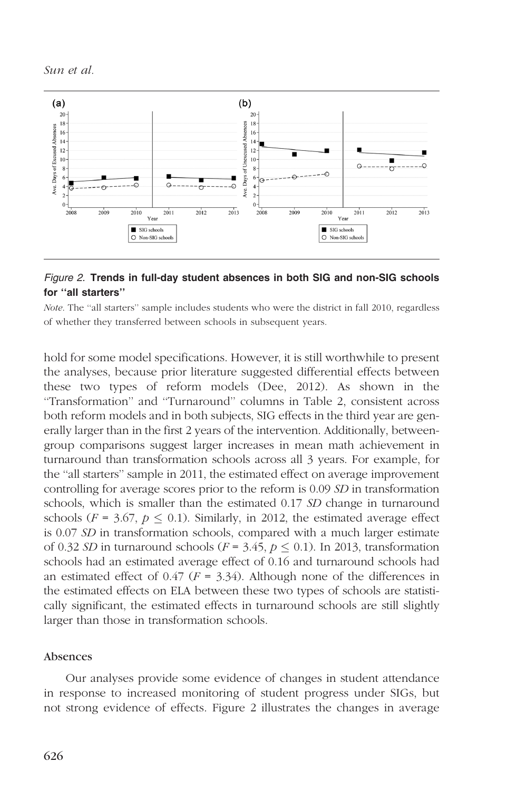

# Figure 2. Trends in full-day student absences in both SIG and non-SIG schools for ''all starters''

Note. The "all starters" sample includes students who were the district in fall 2010, regardless of whether they transferred between schools in subsequent years.

hold for some model specifications. However, it is still worthwhile to present the analyses, because prior literature suggested differential effects between these two types of reform models (Dee, 2012). As shown in the ''Transformation'' and ''Turnaround'' columns in Table 2, consistent across both reform models and in both subjects, SIG effects in the third year are generally larger than in the first 2 years of the intervention. Additionally, betweengroup comparisons suggest larger increases in mean math achievement in turnaround than transformation schools across all 3 years. For example, for the ''all starters'' sample in 2011, the estimated effect on average improvement controlling for average scores prior to the reform is 0.09 SD in transformation schools, which is smaller than the estimated 0.17 SD change in turnaround schools ( $F = 3.67$ ,  $p \le 0.1$ ). Similarly, in 2012, the estimated average effect is 0.07 SD in transformation schools, compared with a much larger estimate of 0.32 SD in turnaround schools ( $F = 3.45$ ,  $p \le 0.1$ ). In 2013, transformation schools had an estimated average effect of 0.16 and turnaround schools had an estimated effect of 0.47 ( $F = 3.34$ ). Although none of the differences in the estimated effects on ELA between these two types of schools are statistically significant, the estimated effects in turnaround schools are still slightly larger than those in transformation schools.

## Absences

Our analyses provide some evidence of changes in student attendance in response to increased monitoring of student progress under SIGs, but not strong evidence of effects. Figure 2 illustrates the changes in average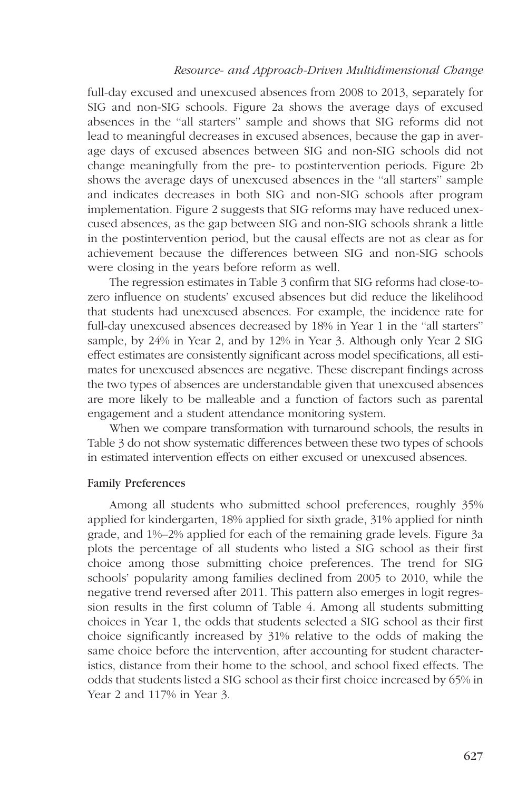## Resource- and Approach-Driven Multidimensional Change

full-day excused and unexcused absences from 2008 to 2013, separately for SIG and non-SIG schools. Figure 2a shows the average days of excused absences in the ''all starters'' sample and shows that SIG reforms did not lead to meaningful decreases in excused absences, because the gap in average days of excused absences between SIG and non-SIG schools did not change meaningfully from the pre- to postintervention periods. Figure 2b shows the average days of unexcused absences in the ''all starters'' sample and indicates decreases in both SIG and non-SIG schools after program implementation. Figure 2 suggests that SIG reforms may have reduced unexcused absences, as the gap between SIG and non-SIG schools shrank a little in the postintervention period, but the causal effects are not as clear as for achievement because the differences between SIG and non-SIG schools were closing in the years before reform as well.

The regression estimates in Table 3 confirm that SIG reforms had close-tozero influence on students' excused absences but did reduce the likelihood that students had unexcused absences. For example, the incidence rate for full-day unexcused absences decreased by 18% in Year 1 in the ''all starters'' sample, by 24% in Year 2, and by 12% in Year 3. Although only Year 2 SIG effect estimates are consistently significant across model specifications, all estimates for unexcused absences are negative. These discrepant findings across the two types of absences are understandable given that unexcused absences are more likely to be malleable and a function of factors such as parental engagement and a student attendance monitoring system.

When we compare transformation with turnaround schools, the results in Table 3 do not show systematic differences between these two types of schools in estimated intervention effects on either excused or unexcused absences.

## Family Preferences

Among all students who submitted school preferences, roughly 35% applied for kindergarten, 18% applied for sixth grade, 31% applied for ninth grade, and 1%–2% applied for each of the remaining grade levels. Figure 3a plots the percentage of all students who listed a SIG school as their first choice among those submitting choice preferences. The trend for SIG schools' popularity among families declined from 2005 to 2010, while the negative trend reversed after 2011. This pattern also emerges in logit regression results in the first column of Table 4. Among all students submitting choices in Year 1, the odds that students selected a SIG school as their first choice significantly increased by 31% relative to the odds of making the same choice before the intervention, after accounting for student characteristics, distance from their home to the school, and school fixed effects. The odds that students listed a SIG school as their first choice increased by 65% in Year 2 and 117% in Year 3.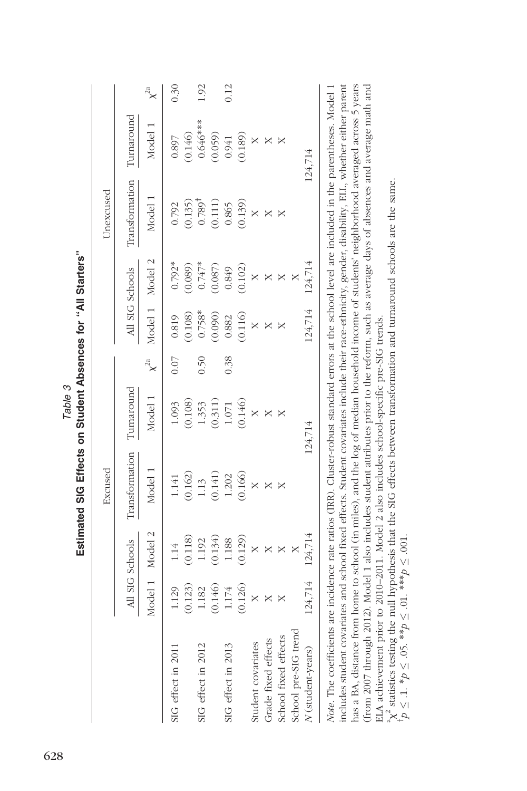|                      |         |                       | Excused        |            |             |          |                 | Unexcused         |            |             |
|----------------------|---------|-----------------------|----------------|------------|-------------|----------|-----------------|-------------------|------------|-------------|
|                      |         | All SIG Schools       | Transformation | Turnaround |             |          | All SIG Schools | Transformation    | Tumaround  |             |
|                      |         | Model 1 Model 2       | Model 1        | Model 1    | $\chi^{2a}$ |          | Model 1 Model 2 | Model 1           | Model 1    | $\chi^{2a}$ |
| SIG effect in 2011   | 1.129   | 114                   | 1.141          | 1.093      | 0.07        | 0.819    | $0.792*$        | 0.792             | 0.897      | 0.30        |
|                      | (0.123) | (0.118)               | (0.162)        | (0.108)    |             | (0.108)  | (0.089)         | (0.135)           | (0.146)    |             |
| SIG effect in 2012   | 1.182   | 1.192                 | 1.13           | 1.353      | 0.50        | $0.758*$ | $0.747*$        | $0.789^{\dagger}$ | $0.646***$ | 1.92        |
|                      | (0.146) | (0.134)               | (0.141)        | (0.311)    |             | (0.090)  | (0.087)         | (0.111)           | (0.059)    |             |
| SIG effect in 2013   | 1.174   | 1.188                 | 1.202          | 1.071      | 0.38        | 0.882    | 0.849           | 0.865             | 0.941      | 0.12        |
|                      | (0.126) | (0.129)               | (0.166)        | (0.146)    |             | (0.116)  | (0.102)         | (0.139)           | (0.189)    |             |
| Student covariates   |         | X                     | $\times$       | ×          |             |          | $\times$        | $\times$          | ×          |             |
| Grade fixed effects  | X       | $\times$              | ×              | ×          |             | ×        | X               | ×                 |            |             |
| School fixed effects |         | $\boldsymbol{\times}$ |                |            |             |          | X               |                   |            |             |
| School pre-SIG trend |         |                       |                |            |             |          |                 |                   |            |             |
| N (student-years)    | 124,714 | 124,714               |                | 124,714    |             | 124,714  | 124,714         |                   | 124,714    |             |

Estimated SIG Effects on Student Absences for "All Starters" Estimated SIG Effects on Student Absences for ''All Starters''

Table 3

(from 2007 through 2012). Model 1 also includes student attributes prior to the reform, such as average days of absences and average math and has a BA, distance from home to school (in miles), and the log of median household income of students' neighbothood averaged across 5 years has a BA, distance from home to school (in miles), and the log of median household income of students' neighborhood averaged across 5 years (from 2007 through 2012). Model 1 also includes student attributes prior to the reform, such as average days of absences and average math and ELA achievement prior to 2010-2011. Model 2 also includes school-specific pre-SIG trends. ELA achievement prior to 2010–2011. Model 2 also includes school-specific pre-SIG trends.

 ${}^4\chi^2$  statistics testing the null hypothesis that the SIG effects between transformation and tumaround schools are the same.<br>  ${}^4p \leq .1. *p \leq .05. *^*p \leq .01. *^*p \leq .001.$  $\chi^2$  statistics testing the null hypothesis that the SIG effects between transformation and turnaround schools are the same.

 $p \le 1. *p \le .05. *p \le .01. * *p \le .001.$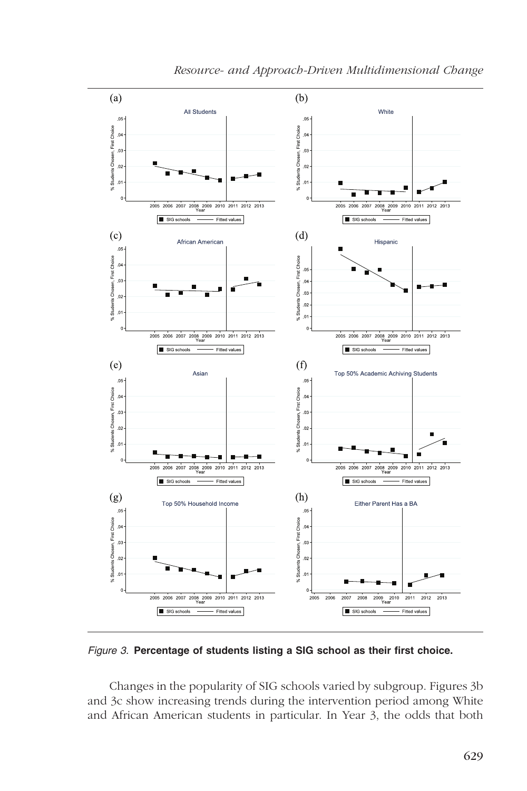

Figure 3. Percentage of students listing a SIG school as their first choice.

Changes in the popularity of SIG schools varied by subgroup. Figures 3b and 3c show increasing trends during the intervention period among White and African American students in particular. In Year 3, the odds that both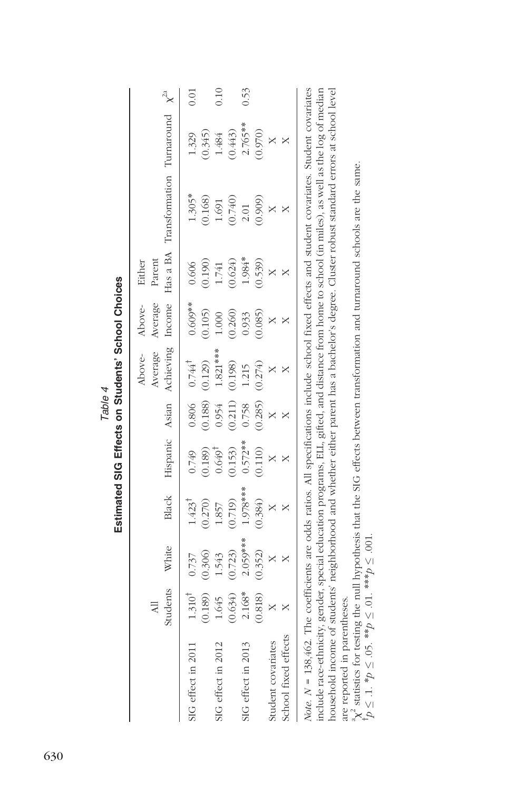|                                                                                                                                                    | Students<br>$\exists$ | White      | Black             | Hispanic Asian    |         | Achieving Income<br>Average<br>Above- | Average<br>Above- | Parent<br>Either | Has a BA Transformation Turnaround $\chi^{2a}$ |            |      |
|----------------------------------------------------------------------------------------------------------------------------------------------------|-----------------------|------------|-------------------|-------------------|---------|---------------------------------------|-------------------|------------------|------------------------------------------------|------------|------|
| SIG effect in 2011                                                                                                                                 | $1.310^{1}$           | 0.737      | $1.423^{\dagger}$ | 0.749             |         | $0.806$ $0.744^{\dagger}$             | $0.609**$         | 0.606            | $1.305*$                                       | 1.329      | 0.01 |
|                                                                                                                                                    | 0.189)                | (0.306)    | (0.270)           | (0.189)           | (0.188) | (0.129)                               | (0.105)           | (0.190)          | (0.168)                                        | (0.345)    |      |
| SIG effect in 2012                                                                                                                                 | 1.645                 | 1.543      | 1.857             | $0.649^{\dagger}$ | 0.954   | $1.821***$                            | $1.000$           | $1.741\,$        | 1.691                                          | 1.484      | 0.10 |
|                                                                                                                                                    | 0.634                 | (0.723)    | (0.719)           | (0.153)           | (0.211) | (0.198)                               | (0.260)           | (0.624)          | (0.740)                                        | (0.443)    |      |
| SIG effect in 2013                                                                                                                                 | $2.168*$              | $2.059***$ | $1.978***$        | $0.572***$        | 0.758   | 1.215                                 | 0.933             | $1.984*$         | 2.01                                           | $2.765***$ | 0.53 |
|                                                                                                                                                    | (0.818)               | (0.352)    | (0.384)           | (0.110)           | (0.285) | (0.274)                               | (0.085)           | (0.539)          | (0.909)                                        | (0.970)    |      |
| Student covariates                                                                                                                                 |                       |            |                   |                   |         |                                       |                   |                  |                                                |            |      |
| School fixed effects                                                                                                                               |                       |            |                   |                   |         |                                       |                   |                  |                                                |            |      |
| Note, $N = 138,462$ . The coefficients are odds ratios. All specifications include school fixed effects and student covariates. Student covariates |                       |            |                   |                   |         |                                       |                   |                  |                                                |            |      |

on Cturlopte' Cohool Choioco Estimated SIG Effects on Students' School Choices Table 4 Eatimatad CIC Effa

include race-ethnicity, gender, special education programs, ELL, gifted, and distance from home to school (in miles), as well as the log of median household income of students' neighborhood and whether either parent has a bachelor's degree. Cluster robust standard errors at school level include race-ethnicity, gender, special education programs, ELL, gifted, and distance from home to school (in miles), as well as the log of median household income of students' neighborhood and whether either parent has a bachelor's degree. Cluster robust standard errors at school level are reported in parentheses. are reported in parentheses.

 ${}^4\chi^2$  statistics for testing the null hypothesis that the SIG effects between transformation and tumaround schools are the same.<br> ${}^4p \leq .1. *p \leq .05. *^4p \leq .01. *^4p \leq .001.$  $\chi^2$  statistics for testing the null hypothesis that the SIG effects between transformation and turnaround schools are the same.  $y^{\dagger}p \leq 1. *p \leq 0.5$ . \*\* $p \leq 0.1$ . \*\*\* $p \leq 0.01$ .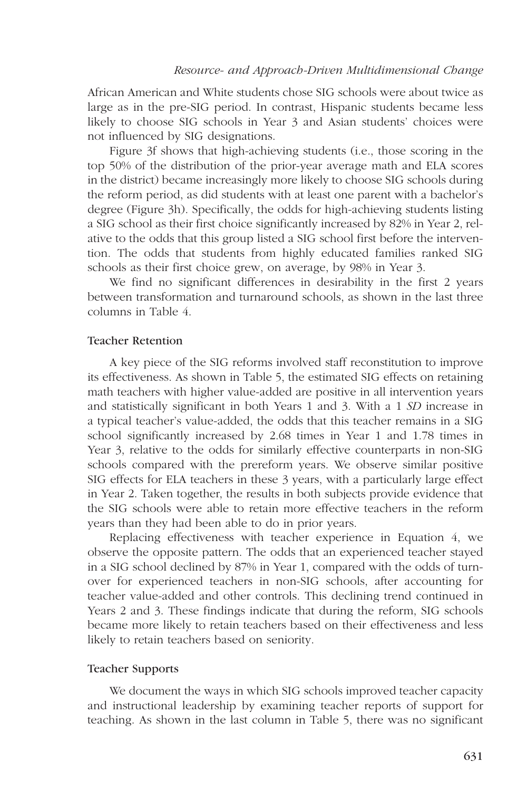African American and White students chose SIG schools were about twice as large as in the pre-SIG period. In contrast, Hispanic students became less likely to choose SIG schools in Year 3 and Asian students' choices were not influenced by SIG designations.

Figure 3f shows that high-achieving students (i.e., those scoring in the top 50% of the distribution of the prior-year average math and ELA scores in the district) became increasingly more likely to choose SIG schools during the reform period, as did students with at least one parent with a bachelor's degree (Figure 3h). Specifically, the odds for high-achieving students listing a SIG school as their first choice significantly increased by 82% in Year 2, relative to the odds that this group listed a SIG school first before the intervention. The odds that students from highly educated families ranked SIG schools as their first choice grew, on average, by 98% in Year 3.

We find no significant differences in desirability in the first 2 years between transformation and turnaround schools, as shown in the last three columns in Table 4.

## Teacher Retention

A key piece of the SIG reforms involved staff reconstitution to improve its effectiveness. As shown in Table 5, the estimated SIG effects on retaining math teachers with higher value-added are positive in all intervention years and statistically significant in both Years 1 and 3. With a 1 SD increase in a typical teacher's value-added, the odds that this teacher remains in a SIG school significantly increased by 2.68 times in Year 1 and 1.78 times in Year 3, relative to the odds for similarly effective counterparts in non-SIG schools compared with the prereform years. We observe similar positive SIG effects for ELA teachers in these 3 years, with a particularly large effect in Year 2. Taken together, the results in both subjects provide evidence that the SIG schools were able to retain more effective teachers in the reform years than they had been able to do in prior years.

Replacing effectiveness with teacher experience in Equation 4, we observe the opposite pattern. The odds that an experienced teacher stayed in a SIG school declined by 87% in Year 1, compared with the odds of turnover for experienced teachers in non-SIG schools, after accounting for teacher value-added and other controls. This declining trend continued in Years 2 and 3. These findings indicate that during the reform, SIG schools became more likely to retain teachers based on their effectiveness and less likely to retain teachers based on seniority.

## Teacher Supports

We document the ways in which SIG schools improved teacher capacity and instructional leadership by examining teacher reports of support for teaching. As shown in the last column in Table 5, there was no significant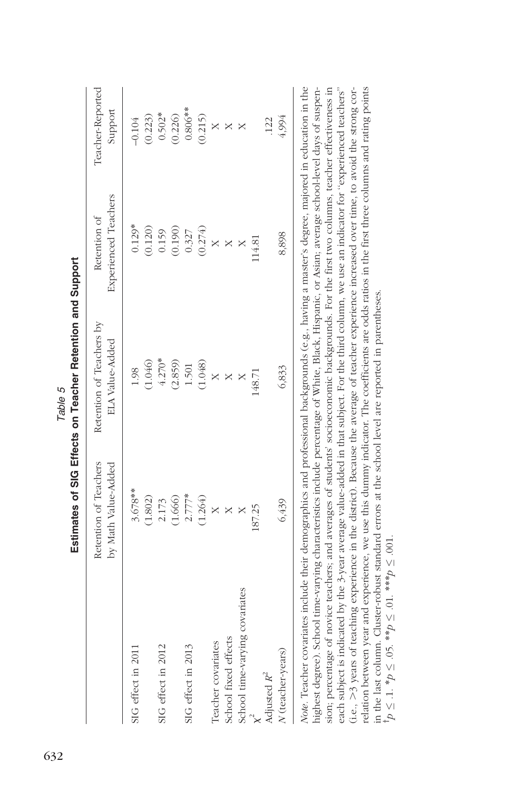|                                                                                                                            | Retention of Teachers<br>by Math Value-Added | Retention of Teachers by<br><b>ELA Value-Added</b> | Experienced Teachers<br>Retention of | Teacher-Reported<br>Support |
|----------------------------------------------------------------------------------------------------------------------------|----------------------------------------------|----------------------------------------------------|--------------------------------------|-----------------------------|
| SIG effect in 2011                                                                                                         | $3.678**$                                    | 1.98                                               | $0.129*$                             | $-0.104$                    |
|                                                                                                                            | (1.802)                                      | (1.046)                                            | (0.120)                              | (0.223)                     |
| SIG effect in 2012                                                                                                         | 2.173                                        | $4.270*$                                           | 0.159                                | $0.502*$                    |
|                                                                                                                            | (1.666)                                      | (2.859)                                            | (0.190)                              | (0.226)                     |
| SIG effect in 2013                                                                                                         | $2.777*$                                     | 1.501                                              | 0.327                                | $0.806**$                   |
|                                                                                                                            | (1.264)                                      | (1.048)                                            | (0.274)                              | (0.215)                     |
| Teacher covariates                                                                                                         |                                              |                                                    |                                      | $\times$                    |
| School fixed effects                                                                                                       |                                              |                                                    |                                      | $\mathbb{X}$                |
| School time-varying covariates                                                                                             |                                              |                                                    |                                      | X                           |
| $\times^2$                                                                                                                 | 187.25                                       | 148.71                                             | 114.81                               |                             |
| Adjusted $R^2$                                                                                                             |                                              |                                                    |                                      | .122                        |
| N (teacher-years)                                                                                                          | 6,439                                        | 6,833                                              | 8,898                                | 4,994                       |
| Note Teacher correlated include their democrance and profeccional hackmande (e a national protect of the production in the |                                              |                                                    |                                      |                             |

Estimates of SIG Effects on Teacher Retention and Support Estimates of SIG Effects on Teacher Retention and Support Table 5

highest degree). School time-varying characteristics include percentage of White, Black, Hispanic, or Asian; average school-level days of suspension; percentage of novice teachers; and averages of students' socioeconomic backgrounds. For the first two columns, teacher effectiveness in each subject is indicated by the 3-year average value-added in that subject. For the third column, we use an indicator for "experienced teachers" relation between year and experience, we use this dummy indicator. The coefficients are odds ratios in the first three columns and rating points Note. Teacher covariates include their demographics and professional backgrounds (e.g., having a master's degree, majored in education in the wore, reacher covariates include include their detailed professional packgrounds (e.g., naving a master's degree, majored in equication in the highest degree). School time-varying characteristics include percentage of White, Black, Hispanic, or Asian; average school-level days of suspension; percentage of novice teachers; and averages of students' socioeconomic backgrounds. For the first two columns, teacher effectiveness in each subject is indicated by the 3-year average value-added in that subject. For the third column, we use an indicator for ''experienced teachers'' (i.e., >3 years of teaching experience in the district). Because the average of teacher experience increased over time, to avoid the strong cor-(i.e., .3 years of teaching experience in the district). Because the average of teacher experience increased over time, to avoid the strong correlation between year and experience, we use this dummy indicator. The coefficients are odds ratios in the first three columns and rating points in the last column. Cluster-robust standard errors at the school level are reported in parentheses. in the last column. Cluster-robust standard errors at the school level are reported in parentheses.  $100 \leq 1 \cdot p \leq 0$ 5. \*\* $p \leq 0$ 1. \*\*\* $p \leq 0$ 01.  $y^{\dagger}p \leq 1.$  \* $p \leq .05.$  \*\* $p \leq .01.$  \*\*\* $p \leq .001.$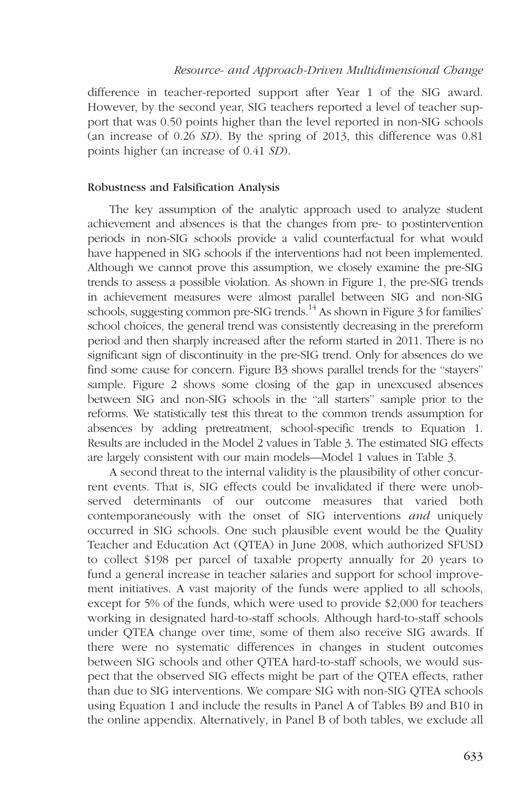#### Resource- and Approach-Driven Multidimensional Change

difference in teacher-reported support after Year 1 of the SIG award. However, by the second year, SIG teachers reported a level of teacher support that was 0.50 points higher than the level reported in non-SIG schools (an increase of 0.26 SD). By the spring of 2013, this difference was 0.81 points higher (an increase of 0.41 SD).

## Robustness and Falsification Analysis

The key assumption of the analytic approach used to analyze student achievement and absences is that the changes from pre- to postintervention periods in non-SIG schools provide a valid counterfactual for what would have happened in SIG schools if the interventions had not been implemented. Although we cannot prove this assumption, we closely examine the pre-SIG trends to assess a possible violation. As shown in Figure 1, the pre-SIG trends in achievement measures were almost parallel between SIG and non-SIG schools, suggesting common pre-SIG trends.<sup>14</sup> As shown in Figure 3 for families' school choices, the general trend was consistently decreasing in the prereform period and then sharply increased after the reform started in 2011. There is no significant sign of discontinuity in the pre-SIG trend. Only for absences do we find some cause for concern. Figure B3 shows parallel trends for the ''stayers'' sample. Figure 2 shows some closing of the gap in unexcused absences between SIG and non-SIG schools in the ''all starters'' sample prior to the reforms. We statistically test this threat to the common trends assumption for absences by adding pretreatment, school-specific trends to Equation 1. Results are included in the Model 2 values in Table 3. The estimated SIG effects are largely consistent with our main models—Model 1 values in Table 3.

A second threat to the internal validity is the plausibility of other concurrent events. That is, SIG effects could be invalidated if there were unobserved determinants of our outcome measures that varied both contemporaneously with the onset of SIG interventions and uniquely occurred in SIG schools. One such plausible event would be the Quality Teacher and Education Act (QTEA) in June 2008, which authorized SFUSD to collect \$198 per parcel of taxable property annually for 20 years to fund a general increase in teacher salaries and support for school improvement initiatives. A vast majority of the funds were applied to all schools, except for 5% of the funds, which were used to provide \$2,000 for teachers working in designated hard-to-staff schools. Although hard-to-staff schools under QTEA change over time, some of them also receive SIG awards. If there were no systematic differences in changes in student outcomes between SIG schools and other QTEA hard-to-staff schools, we would suspect that the observed SIG effects might be part of the QTEA effects, rather than due to SIG interventions. We compare SIG with non-SIG QTEA schools using Equation 1 and include the results in Panel A of Tables B9 and B10 in the [online appendix](http://journals.sagepub.com/doi/suppl/10.3102/0002831217695790). Alternatively, in Panel B of both tables, we exclude all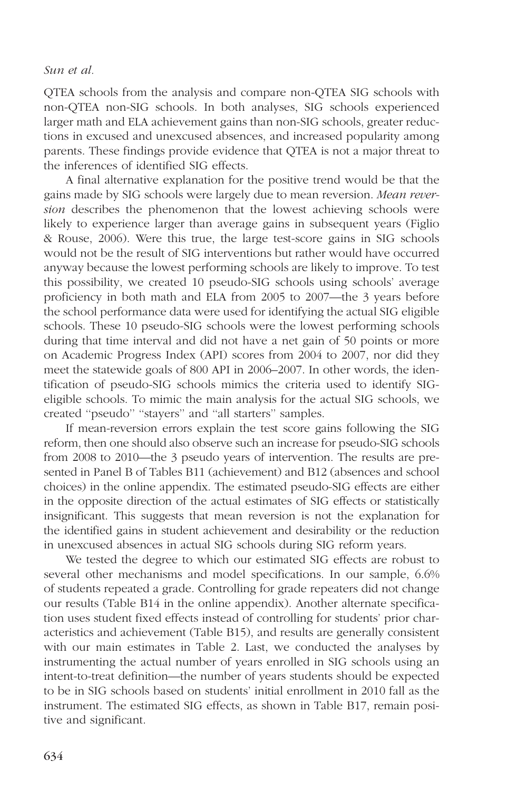QTEA schools from the analysis and compare non-QTEA SIG schools with non-QTEA non-SIG schools. In both analyses, SIG schools experienced larger math and ELA achievement gains than non-SIG schools, greater reductions in excused and unexcused absences, and increased popularity among parents. These findings provide evidence that QTEA is not a major threat to the inferences of identified SIG effects.

A final alternative explanation for the positive trend would be that the gains made by SIG schools were largely due to mean reversion. Mean reversion describes the phenomenon that the lowest achieving schools were likely to experience larger than average gains in subsequent years (Figlio & Rouse, 2006). Were this true, the large test-score gains in SIG schools would not be the result of SIG interventions but rather would have occurred anyway because the lowest performing schools are likely to improve. To test this possibility, we created 10 pseudo-SIG schools using schools' average proficiency in both math and ELA from 2005 to 2007—the 3 years before the school performance data were used for identifying the actual SIG eligible schools. These 10 pseudo-SIG schools were the lowest performing schools during that time interval and did not have a net gain of 50 points or more on Academic Progress Index (API) scores from 2004 to 2007, nor did they meet the statewide goals of 800 API in 2006–2007. In other words, the identification of pseudo-SIG schools mimics the criteria used to identify SIGeligible schools. To mimic the main analysis for the actual SIG schools, we created ''pseudo'' ''stayers'' and ''all starters'' samples.

If mean-reversion errors explain the test score gains following the SIG reform, then one should also observe such an increase for pseudo-SIG schools from 2008 to 2010—the 3 pseudo years of intervention. The results are presented in Panel B of Tables B11 (achievement) and B12 (absences and school choices) in the [online appendix](http://journals.sagepub.com/doi/suppl/10.3102/0002831217695790). The estimated pseudo-SIG effects are either in the opposite direction of the actual estimates of SIG effects or statistically insignificant. This suggests that mean reversion is not the explanation for the identified gains in student achievement and desirability or the reduction in unexcused absences in actual SIG schools during SIG reform years.

We tested the degree to which our estimated SIG effects are robust to several other mechanisms and model specifications. In our sample, 6.6% of students repeated a grade. Controlling for grade repeaters did not change our results ([Table B14 in the online appendix\)](http://journals.sagepub.com/doi/suppl/10.3102/0002831217695790). Another alternate specification uses student fixed effects instead of controlling for students' prior characteristics and achievement (Table B15), and results are generally consistent with our main estimates in Table 2. Last, we conducted the analyses by instrumenting the actual number of years enrolled in SIG schools using an intent-to-treat definition—the number of years students should be expected to be in SIG schools based on students' initial enrollment in 2010 fall as the instrument. The estimated SIG effects, as shown in Table B17, remain positive and significant.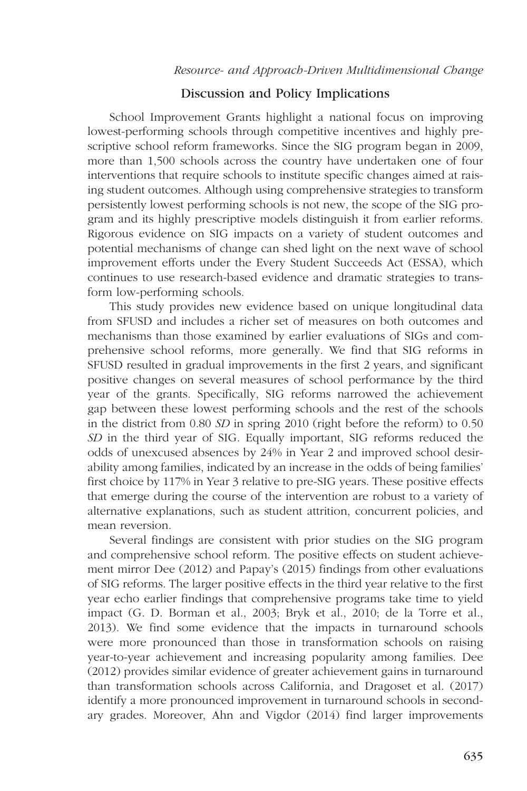# Discussion and Policy Implications

School Improvement Grants highlight a national focus on improving lowest-performing schools through competitive incentives and highly prescriptive school reform frameworks. Since the SIG program began in 2009, more than 1,500 schools across the country have undertaken one of four interventions that require schools to institute specific changes aimed at raising student outcomes. Although using comprehensive strategies to transform persistently lowest performing schools is not new, the scope of the SIG program and its highly prescriptive models distinguish it from earlier reforms. Rigorous evidence on SIG impacts on a variety of student outcomes and potential mechanisms of change can shed light on the next wave of school improvement efforts under the Every Student Succeeds Act (ESSA), which continues to use research-based evidence and dramatic strategies to transform low-performing schools.

This study provides new evidence based on unique longitudinal data from SFUSD and includes a richer set of measures on both outcomes and mechanisms than those examined by earlier evaluations of SIGs and comprehensive school reforms, more generally. We find that SIG reforms in SFUSD resulted in gradual improvements in the first 2 years, and significant positive changes on several measures of school performance by the third year of the grants. Specifically, SIG reforms narrowed the achievement gap between these lowest performing schools and the rest of the schools in the district from 0.80 SD in spring 2010 (right before the reform) to 0.50 SD in the third year of SIG. Equally important, SIG reforms reduced the odds of unexcused absences by 24% in Year 2 and improved school desirability among families, indicated by an increase in the odds of being families' first choice by 117% in Year 3 relative to pre-SIG years. These positive effects that emerge during the course of the intervention are robust to a variety of alternative explanations, such as student attrition, concurrent policies, and mean reversion.

Several findings are consistent with prior studies on the SIG program and comprehensive school reform. The positive effects on student achievement mirror Dee (2012) and Papay's (2015) findings from other evaluations of SIG reforms. The larger positive effects in the third year relative to the first year echo earlier findings that comprehensive programs take time to yield impact (G. D. Borman et al., 2003; Bryk et al., 2010; de la Torre et al., 2013). We find some evidence that the impacts in turnaround schools were more pronounced than those in transformation schools on raising year-to-year achievement and increasing popularity among families. Dee (2012) provides similar evidence of greater achievement gains in turnaround than transformation schools across California, and Dragoset et al. (2017) identify a more pronounced improvement in turnaround schools in secondary grades. Moreover, Ahn and Vigdor (2014) find larger improvements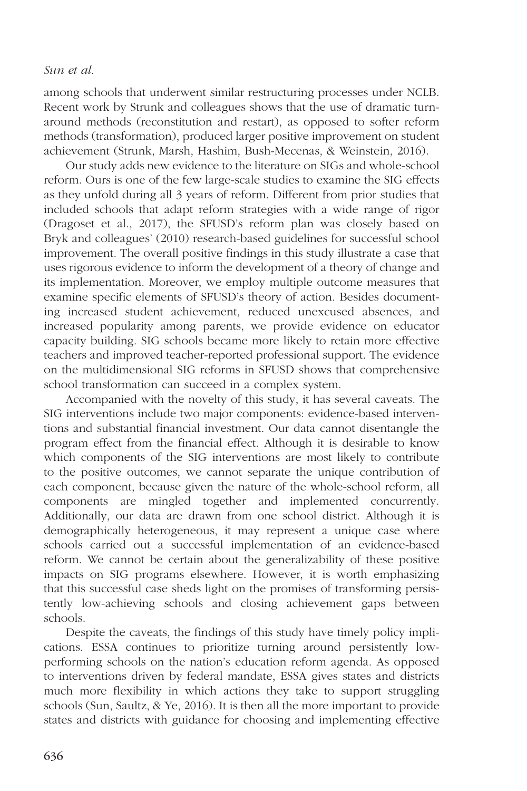among schools that underwent similar restructuring processes under NCLB. Recent work by Strunk and colleagues shows that the use of dramatic turnaround methods (reconstitution and restart), as opposed to softer reform methods (transformation), produced larger positive improvement on student achievement (Strunk, Marsh, Hashim, Bush-Mecenas, & Weinstein, 2016).

Our study adds new evidence to the literature on SIGs and whole-school reform. Ours is one of the few large-scale studies to examine the SIG effects as they unfold during all 3 years of reform. Different from prior studies that included schools that adapt reform strategies with a wide range of rigor (Dragoset et al., 2017), the SFUSD's reform plan was closely based on Bryk and colleagues' (2010) research-based guidelines for successful school improvement. The overall positive findings in this study illustrate a case that uses rigorous evidence to inform the development of a theory of change and its implementation. Moreover, we employ multiple outcome measures that examine specific elements of SFUSD's theory of action. Besides documenting increased student achievement, reduced unexcused absences, and increased popularity among parents, we provide evidence on educator capacity building. SIG schools became more likely to retain more effective teachers and improved teacher-reported professional support. The evidence on the multidimensional SIG reforms in SFUSD shows that comprehensive school transformation can succeed in a complex system.

Accompanied with the novelty of this study, it has several caveats. The SIG interventions include two major components: evidence-based interventions and substantial financial investment. Our data cannot disentangle the program effect from the financial effect. Although it is desirable to know which components of the SIG interventions are most likely to contribute to the positive outcomes, we cannot separate the unique contribution of each component, because given the nature of the whole-school reform, all components are mingled together and implemented concurrently. Additionally, our data are drawn from one school district. Although it is demographically heterogeneous, it may represent a unique case where schools carried out a successful implementation of an evidence-based reform. We cannot be certain about the generalizability of these positive impacts on SIG programs elsewhere. However, it is worth emphasizing that this successful case sheds light on the promises of transforming persistently low-achieving schools and closing achievement gaps between schools.

Despite the caveats, the findings of this study have timely policy implications. ESSA continues to prioritize turning around persistently lowperforming schools on the nation's education reform agenda. As opposed to interventions driven by federal mandate, ESSA gives states and districts much more flexibility in which actions they take to support struggling schools (Sun, Saultz, & Ye, 2016). It is then all the more important to provide states and districts with guidance for choosing and implementing effective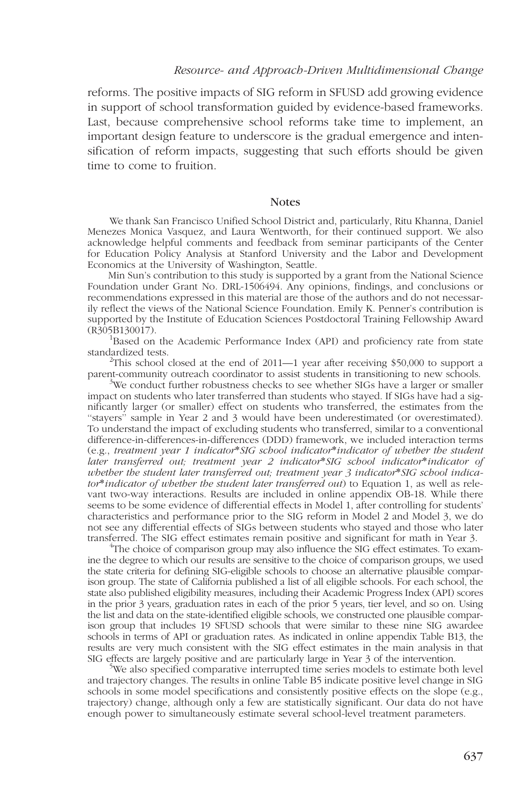reforms. The positive impacts of SIG reform in SFUSD add growing evidence in support of school transformation guided by evidence-based frameworks. Last, because comprehensive school reforms take time to implement, an important design feature to underscore is the gradual emergence and intensification of reform impacts, suggesting that such efforts should be given time to come to fruition.

#### **Notes**

We thank San Francisco Unified School District and, particularly, Ritu Khanna, Daniel Menezes Monica Vasquez, and Laura Wentworth, for their continued support. We also acknowledge helpful comments and feedback from seminar participants of the Center for Education Policy Analysis at Stanford University and the Labor and Development Economics at the University of Washington, Seattle.

Min Sun's contribution to this study is supported by a grant from the National Science Foundation under Grant No. DRL-1506494. Any opinions, findings, and conclusions or recommendations expressed in this material are those of the authors and do not necessarily reflect the views of the National Science Foundation. Emily K. Penner's contribution is supported by the Institute of Education Sciences Postdoctoral Training Fellowship Award  $(R305B130017)$ .

<sup>1</sup>Based on the Academic Performance Index (API) and proficiency rate from state standardized tests. <sup>2</sup>

<sup>2</sup>This school closed at the end of 2011—1 year after receiving \$50,000 to support a parent-community outreach coordinator to assist students in transitioning to new schools. <sup>3</sup>

 $3$ We conduct further robustness checks to see whether SIGs have a larger or smaller impact on students who later transferred than students who stayed. If SIGs have had a significantly larger (or smaller) effect on students who transferred, the estimates from the ''stayers'' sample in Year 2 and 3 would have been underestimated (or overestimated). To understand the impact of excluding students who transferred, similar to a conventional difference-in-differences-in-differences (DDD) framework, we included interaction terms (e.g., treatment year 1 indicator\*SIG school indicator\*indicator of whether the student later transferred out; treatment year 2 indicator\*SIG school indicator\*indicator of whether the student later transferred out; treatment year 3 indicator\*SIG school indicator\*indicator of whether the student later transferred out) to Equation 1, as well as relevant two-way interactions. Results are included in [online appendix OB-18.](http://journals.sagepub.com/doi/suppl/10.3102/0002831217695790) While there seems to be some evidence of differential effects in Model 1, after controlling for students' characteristics and performance prior to the SIG reform in Model 2 and Model 3, we do not see any differential effects of SIGs between students who stayed and those who later transferred. The SIG effect estimates remain positive and significant for math in Year 3. <sup>4</sup>

<sup>4</sup>The choice of comparison group may also influence the SIG effect estimates. To examine the degree to which our results are sensitive to the choice of comparison groups, we used the state criteria for defining SIG-eligible schools to choose an alternative plausible comparison group. The state of California published a list of all eligible schools. For each school, the state also published eligibility measures, including their Academic Progress Index (API) scores in the prior 3 years, graduation rates in each of the prior 5 years, tier level, and so on. Using the list and data on the state-identified eligible schools, we constructed one plausible comparison group that includes 19 SFUSD schools that were similar to these nine SIG awardee schools in terms of API or graduation rates. As indicated in [online appendix Table B13](http://journals.sagepub.com/doi/suppl/10.3102/0002831217695790), the results are very much consistent with the SIG effect estimates in the main analysis in that SIG effects are largely positive and are particularly large in Year 3 of the intervention.

We also specified comparative interrupted time series models to estimate both level and trajectory changes. The results in online Table B5 indicate positive level change in SIG schools in some model specifications and consistently positive effects on the slope (e.g., trajectory) change, although only a few are statistically significant. Our data do not have enough power to simultaneously estimate several school-level treatment parameters.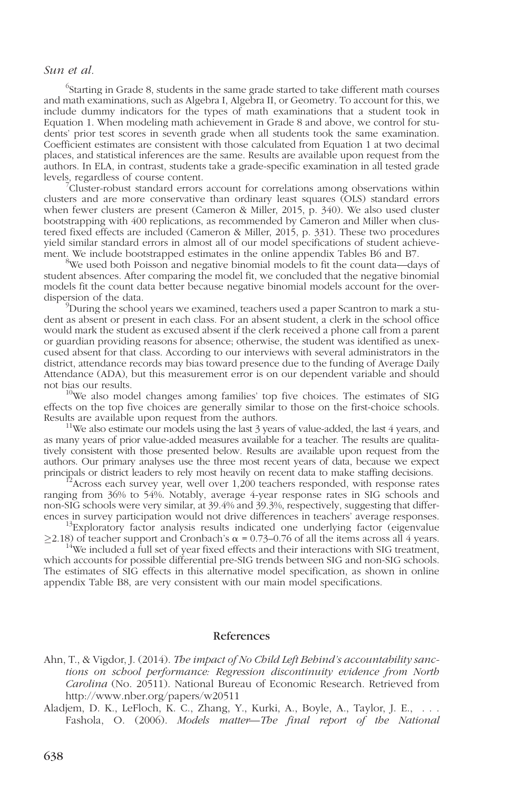$^6$ Starting in Grade 8, students in the same grade started to take different math courses and math examinations, such as Algebra I, Algebra II, or Geometry. To account for this, we include dummy indicators for the types of math examinations that a student took in Equation 1. When modeling math achievement in Grade 8 and above, we control for students' prior test scores in seventh grade when all students took the same examination. Coefficient estimates are consistent with those calculated from Equation 1 at two decimal places, and statistical inferences are the same. Results are available upon request from the authors. In ELA, in contrast, students take a grade-specific examination in all tested grade levels, regardless of course content.

Cluster-robust standard errors account for correlations among observations within clusters and are more conservative than ordinary least squares (OLS) standard errors when fewer clusters are present (Cameron & Miller, 2015, p. 340). We also used cluster bootstrapping with 400 replications, as recommended by Cameron and Miller when clustered fixed effects are included (Cameron & Miller, 2015, p. 331). These two procedures yield similar standard errors in almost all of our model specifications of student achievement. We include bootstrapped estimates in th[e online appendix Tables B6 and B7.](http://journals.sagepub.com/doi/suppl/10.3102/0002831217695790)

<sup>8</sup>We used both Poisson and negative binomial models to fit the count data—days of student absences. After comparing the model fit, we concluded that the negative binomial models fit the count data better because negative binomial models account for the overdispersion of the data.

 $\mu^9$ During the school years we examined, teachers used a paper Scantron to mark a student as absent or present in each class. For an absent student, a clerk in the school office would mark the student as excused absent if the clerk received a phone call from a parent or guardian providing reasons for absence; otherwise, the student was identified as unexcused absent for that class. According to our interviews with several administrators in the district, attendance records may bias toward presence due to the funding of Average Daily Attendance (ADA), but this measurement error is on our dependent variable and should

<sup>10</sup>We also model changes among families' top five choices. The estimates of SIG effects on the top five choices are generally similar to those on the first-choice schools. Results are available upon request from the authors.<br><sup>11</sup>We also estimate our models using the last 3 years of value-added, the last 4 years, and

as many years of prior value-added measures available for a teacher. The results are qualitatively consistent with those presented below. Results are available upon request from the authors. Our primary analyses use the three most recent years of data, because we expect principals or district leaders to rely most heavily on recent data to make staffing decisions.

Across each survey year, well over 1,200 teachers responded, with response rates ranging from 36% to 54%. Notably, average 4-year response rates in SIG schools and non-SIG schools were very similar, at 39.4% and 39.3%, respectively, suggesting that differences in survey participation would not drive differences in teachers' average responses. <sup>13</sup>Exploratory factor analysis results indicated one underlying factor (eigenvalue

 $\geq$ 2.18) of teacher support and Cronbach's  $\alpha$  = 0.73–0.76 of all the items across all 4 years.<br><sup>14</sup>We included a full set of year fixed effects and their interactions with SIG treatment,

which accounts for possible differential pre-SIG trends between SIG and non-SIG schools. The estimates of SIG effects in this alternative model specification, as shown in online [appendix Table B8](http://journals.sagepub.com/doi/suppl/10.3102/0002831217695790), are very consistent with our main model specifications.

## References

- Ahn, T., & Vigdor, J. (2014). The impact of No Child Left Behind's accountability sanctions on school performance: Regression discontinuity evidence from North Carolina (No. 20511). National Bureau of Economic Research. Retrieved from http://www.nber.org/papers/w20511
- Aladjem, D. K., LeFloch, K. C., Zhang, Y., Kurki, A., Boyle, A., Taylor, J. E., . . . Fashola, O. (2006). Models matter—The final report of the National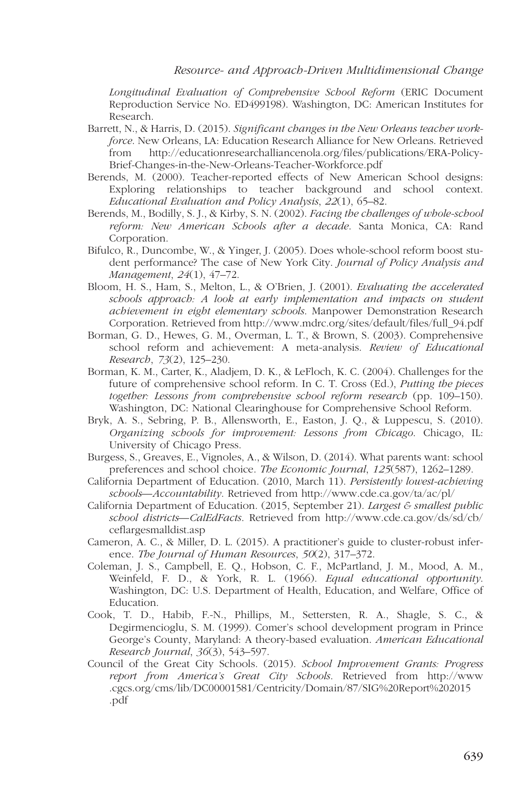Longitudinal Evaluation of Comprehensive School Reform (ERIC Document Reproduction Service No. ED499198). Washington, DC: American Institutes for Research.

- Barrett, N., & Harris, D. (2015). Significant changes in the New Orleans teacher workforce. New Orleans, LA: Education Research Alliance for New Orleans. Retrieved from http://educationresearchalliancenola.org/files/publications/ERA-Policy-Brief-Changes-in-the-New-Orleans-Teacher-Workforce.pdf
- Berends, M. (2000). Teacher-reported effects of New American School designs: Exploring relationships to teacher background and school context. Educational Evaluation and Policy Analysis, 22(1), 65–82.
- Berends, M., Bodilly, S. J., & Kirby, S. N. (2002). Facing the challenges of whole-school reform: New American Schools after a decade. Santa Monica, CA: Rand Corporation.
- Bifulco, R., Duncombe, W., & Yinger, J. (2005). Does whole-school reform boost student performance? The case of New York City. Journal of Policy Analysis and Management, 24(1), 47–72.
- Bloom, H. S., Ham, S., Melton, L., & O'Brien, J. (2001). Evaluating the accelerated schools approach: A look at early implementation and impacts on student achievement in eight elementary schools. Manpower Demonstration Research Corporation. Retrieved from http://www.mdrc.org/sites/default/files/full\_94.pdf
- Borman, G. D., Hewes, G. M., Overman, L. T., & Brown, S. (2003). Comprehensive school reform and achievement: A meta-analysis. Review of Educational Research, 73(2), 125–230.
- Borman, K. M., Carter, K., Aladjem, D. K., & LeFloch, K. C. (2004). Challenges for the future of comprehensive school reform. In C. T. Cross (Ed.), Putting the pieces together: Lessons from comprehensive school reform research (pp. 109–150). Washington, DC: National Clearinghouse for Comprehensive School Reform.
- Bryk, A. S., Sebring, P. B., Allensworth, E., Easton, J. Q., & Luppescu, S. (2010). Organizing schools for improvement: Lessons from Chicago. Chicago, IL: University of Chicago Press.
- Burgess, S., Greaves, E., Vignoles, A., & Wilson, D. (2014). What parents want: school preferences and school choice. The Economic Journal, 125(587), 1262–1289.
- California Department of Education. (2010, March 11). Persistently lowest-achieving schools—Accountability. Retrieved from http://www.cde.ca.gov/ta/ac/pl/
- California Department of Education. (2015, September 21). Largest  $\epsilon$  smallest public school districts—CalEdFacts[. Retrieved from http://www.cde.ca.gov/ds/sd/cb/](http://www.cde.ca.gov/ds/sd/cb/ceflargesmalldist.asp) ceflargesmalldist.asp
- Cameron, A. C., & Miller, D. L. (2015). A practitioner's guide to cluster-robust inference. The Journal of Human Resources, 50(2), 317–372.
- Coleman, J. S., Campbell, E. Q., Hobson, C. F., McPartland, J. M., Mood, A. M., Weinfeld, F. D., & York, R. L. (1966). Equal educational opportunity. Washington, DC: U.S. Department of Health, Education, and Welfare, Office of Education.
- Cook, T. D., Habib, F.-N., Phillips, M., Settersten, R. A., Shagle, S. C., & Degirmencioglu, S. M. (1999). Comer's school development program in Prince George's County, Maryland: A theory-based evaluation. American Educational Research Journal, 36(3), 543–597.
- Council of the Great City Schools. (2015). School Improvement Grants: Progress report from America's Great City Schools. Retrieved from http://www [.cgcs.org/cms/lib/DC00001581/Centricity/Domain/87/SIG%20Report%202015](http://www.cgcs.org/cms/lib/DC00001581/Centricity/Domain/87/SIG%20Report%202015.pdf) .pdf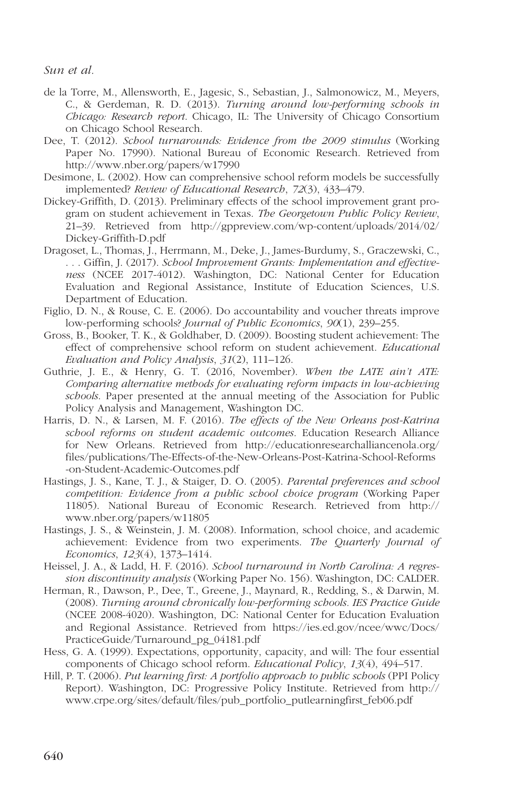- de la Torre, M., Allensworth, E., Jagesic, S., Sebastian, J., Salmonowicz, M., Meyers, C., & Gerdeman, R. D. (2013). Turning around low-performing schools in Chicago: Research report. Chicago, IL: The University of Chicago Consortium on Chicago School Research.
- Dee, T. (2012). School turnarounds: Evidence from the 2009 stimulus (Working Paper No. 17990). National Bureau of Economic Research. Retrieved from http://www.nber.org/papers/w17990
- Desimone, L. (2002). How can comprehensive school reform models be successfully implemented? Review of Educational Research, 72(3), 433–479.
- Dickey-Griffith, D. (2013). Preliminary effects of the school improvement grant program on student achievement in Texas. The Georgetown Public Policy Review, [21–39. Retrieved from http://gppreview.com/wp-content/uploads/2014/02/](http://gppreview.com/wp-content/uploads/2014/02/Dickey-Griffith-D.pdf) Dickey-Griffith-D.pdf
- Dragoset, L., Thomas, J., Herrmann, M., Deke, J., James-Burdumy, S., Graczewski, C., . . . Giffin, J. (2017). School Improvement Grants: Implementation and effectiveness (NCEE 2017-4012). Washington, DC: National Center for Education Evaluation and Regional Assistance, Institute of Education Sciences, U.S. Department of Education.
- Figlio, D. N., & Rouse, C. E. (2006). Do accountability and voucher threats improve low-performing schools? Journal of Public Economics, 90(1), 239–255.
- Gross, B., Booker, T. K., & Goldhaber, D. (2009). Boosting student achievement: The effect of comprehensive school reform on student achievement. Educational Evaluation and Policy Analysis, 31(2), 111–126.
- Guthrie, J. E., & Henry, G. T. (2016, November). When the LATE ain't ATE: Comparing alternative methods for evaluating reform impacts in low-achieving schools. Paper presented at the annual meeting of the Association for Public Policy Analysis and Management, Washington DC.
- Harris, D. N., & Larsen, M. F. (2016). The effects of the New Orleans post-Katrina school reforms on student academic outcomes. Education Research Alliance for New Orleans. Retrieved from http://educationresearchalliancenola.org/ [files/publications/The-Effects-of-the-New-Orleans-Post-Katrina-School-Reforms](http://educationresearchalliancenola.org/files/publications/The-Effects-of-the-New-Orleans-Post-Katrina-School-Reforms-on-Student-Academic-Outcomes.pdf) -on-Student-Academic-Outcomes.pdf
- Hastings, J. S., Kane, T. J., & Staiger, D. O. (2005). Parental preferences and school competition: Evidence from a public school choice program (Working Paper 11805). National Bureau of Economic Research. Retrieved from http:// www.nber.org/papers/w11805
- Hastings, J. S., & Weinstein, J. M. (2008). Information, school choice, and academic achievement: Evidence from two experiments. The Quarterly Journal of Economics, 123(4), 1373–1414.
- Heissel, J. A., & Ladd, H. F. (2016). School turnaround in North Carolina: A regression discontinuity analysis (Working Paper No. 156). Washington, DC: CALDER.
- Herman, R., Dawson, P., Dee, T., Greene, J., Maynard, R., Redding, S., & Darwin, M. (2008). Turning around chronically low-performing schools. IES Practice Guide (NCEE 2008-4020). Washington, DC: National Center for Education Evaluation [and Regional Assistance. Retrieved from https://ies.ed.gov/ncee/wwc/Docs/](https://ies.ed.gov/ncee/wwc/Docs/PracticeGuide/Turnaround_pg_04181.pdf) PracticeGuide/Turnaround\_pg\_04181.pdf
- Hess, G. A. (1999). Expectations, opportunity, capacity, and will: The four essential components of Chicago school reform. Educational Policy, 13(4), 494–517.
- Hill, P. T. (2006). Put learning first: A portfolio approach to public schools (PPI Policy Report). Washington, DC: Progressive Policy Institute. Retrieved from http:// www.crpe.org/sites/default/files/pub\_portfolio\_putlearningfirst\_feb06.pdf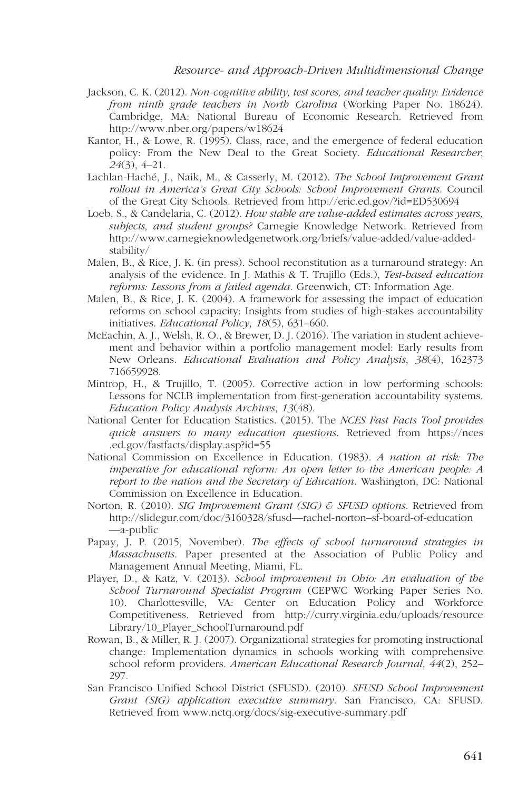#### Resource- and Approach-Driven Multidimensional Change

- Jackson, C. K. (2012). Non-cognitive ability, test scores, and teacher quality: Evidence from ninth grade teachers in North Carolina (Working Paper No. 18624). Cambridge, MA: National Bureau of Economic Research. Retrieved from http://www.nber.org/papers/w18624
- Kantor, H., & Lowe, R. (1995). Class, race, and the emergence of federal education policy: From the New Deal to the Great Society. Educational Researcher, 24(3), 4–21.
- Lachlan-Haché, J., Naik, M., & Casserly, M. (2012). The School Improvement Grant rollout in America's Great City Schools: School Improvement Grants. Council of the Great City Schools. Retrieved from http://eric.ed.gov/?id=ED530694
- Loeb, S., & Candelaria, C. (2012). How stable are value-added estimates across years, subjects, and student groups? Carnegie Knowledge Network. Retrieved from http://www.carnegieknowledgenetwork.org/briefs/value-added/value-addedstability/
- Malen, B., & Rice, J. K. (in press). School reconstitution as a turnaround strategy: An analysis of the evidence. In J. Mathis & T. Trujillo (Eds.), Test-based education reforms: Lessons from a failed agenda. Greenwich, CT: Information Age.
- Malen, B., & Rice, J. K. (2004). A framework for assessing the impact of education reforms on school capacity: Insights from studies of high-stakes accountability initiatives. Educational Policy, 18(5), 631–660.
- McEachin, A. J., Welsh, R. O., & Brewer, D. J. (2016). The variation in student achievement and behavior within a portfolio management model: Early results from New Orleans. Educational Evaluation and Policy Analysis, 38(4), 162373 716659928.
- Mintrop, H., & Trujillo, T. (2005). Corrective action in low performing schools: Lessons for NCLB implementation from first-generation accountability systems. Education Policy Analysis Archives, 13(48).
- National Center for Education Statistics. (2015). The NCES Fast Facts Tool provides [quick answers to many education questions](https://nces.ed.gov/fastfacts/display.asp?id=55). Retrieved from https://nces .ed.gov/fastfacts/display.asp?id=55
- National Commission on Excellence in Education. (1983). A nation at risk: The imperative for educational reform: An open letter to the American people: A report to the nation and the Secretary of Education. Washington, DC: National Commission on Excellence in Education.
- Norton, R. (2010). SIG Improvement Grant (SIG) & SFUSD options. Retrieved from [http://slidegur.com/doc/3160328/sfusd—rachel-norton–sf-board-of-education](http://slidegur.com/doc/3160328/sfusd%E2%80%94rachel-norton%E2%80%93sf-board-of-education%E2%80%94a-public) —a-public
- Papay, J. P. (2015, November). The effects of school turnaround strategies in Massachusetts. Paper presented at the Association of Public Policy and Management Annual Meeting, Miami, FL.
- Player, D., & Katz, V. (2013). School improvement in Ohio: An evaluation of the School Turnaround Specialist Program (CEPWC Working Paper Series No. 10). Charlottesville, VA: Center on Education Policy and Workforce [Competitiveness. Retrieved from http://curry.virginia.edu/uploads/resource](http://curry.virginia.edu/uploads/resourceLibrary/10_Player_SchoolTurnaround.pdf) Library/10\_Player\_SchoolTurnaround.pdf
- Rowan, B., & Miller, R. J. (2007). Organizational strategies for promoting instructional change: Implementation dynamics in schools working with comprehensive school reform providers. American Educational Research Journal, 44(2), 252– 297.
- San Francisco Unified School District (SFUSD). (2010). SFUSD School Improvement Grant (SIG) application executive summary. San Francisco, CA: SFUSD. Retrieved from www.nctq.org/docs/sig-executive-summary.pdf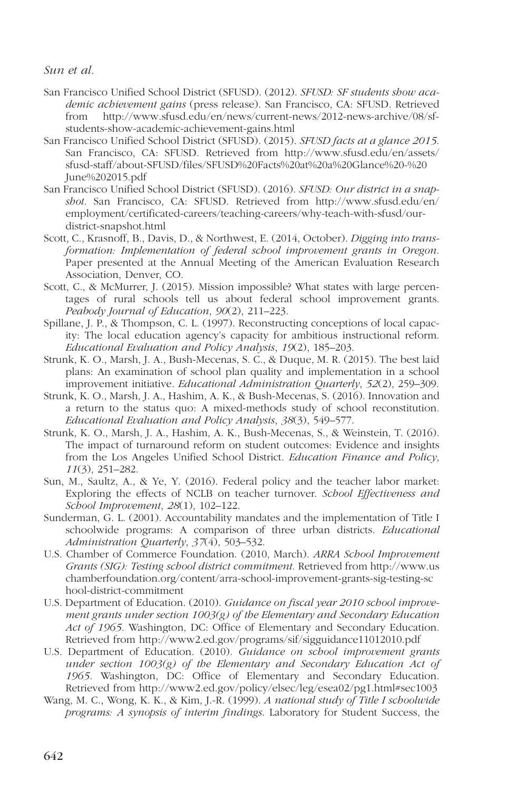- San Francisco Unified School District (SFUSD). (2012). SFUSD: SF students show academic achievement gains (press release). San Francisco, CA: SFUSD. Retrieved from http://www.sfusd.edu/en/news/current-news/2012-news-archive/08/sfstudents-show-academic-achievement-gains.html
- San Francisco Unified School District (SFUSD). (2015). SFUSD facts at a glance 2015. [San Francisco, CA: SFUSD. Retrieved from http://www.sfusd.edu/en/assets/](http://www.sfusd.edu/en/assets/sfusd-staff/about-SFUSD/files/SFUSD%20Facts%20at%20a%20Glance%20-%20June%202015.pdf) sfusd-staff/about-SFUSD/files/SFUSD%20Facts%20at%20a%20Glance%20-%20 June%202015.pdf
- San Francisco Unified School District (SFUSD). (2016). SFUSD: Our district in a snapshot. San Francisco, CA: SFUSD. Retrieved from http://www.sfusd.edu/en/ [employment/certificated-careers/teaching-careers/why-teach-with-sfusd/our](http://www.sfusd.edu/en/employment/certificated-careers/teaching-careers/why-teach-with-sfusd/ourdistrict-snapshot.html)district-snapshot.html
- Scott, C., Krasnoff, B., Davis, D., & Northwest, E. (2014, October). Digging into transformation: Implementation of federal school improvement grants in Oregon. Paper presented at the Annual Meeting of the American Evaluation Research Association, Denver, CO.
- Scott, C., & McMurrer, J. (2015). Mission impossible? What states with large percentages of rural schools tell us about federal school improvement grants. Peabody Journal of Education, 90(2), 211–223.
- Spillane, J. P., & Thompson, C. L. (1997). Reconstructing conceptions of local capacity: The local education agency's capacity for ambitious instructional reform. Educational Evaluation and Policy Analysis, 19(2), 185–203.
- Strunk, K. O., Marsh, J. A., Bush-Mecenas, S. C., & Duque, M. R. (2015). The best laid plans: An examination of school plan quality and implementation in a school improvement initiative. Educational Administration Quarterly, 52(2), 259–309.
- Strunk, K. O., Marsh, J. A., Hashim, A. K., & Bush-Mecenas, S. (2016). Innovation and a return to the status quo: A mixed-methods study of school reconstitution. Educational Evaluation and Policy Analysis, 38(3), 549–577.
- Strunk, K. O., Marsh, J. A., Hashim, A. K., Bush-Mecenas, S., & Weinstein, T. (2016). The impact of turnaround reform on student outcomes: Evidence and insights from the Los Angeles Unified School District. Education Finance and Policy, 11(3), 251–282.
- Sun, M., Saultz, A., & Ye, Y. (2016). Federal policy and the teacher labor market: Exploring the effects of NCLB on teacher turnover. School Effectiveness and School Improvement, 28(1), 102–122.
- Sunderman, G. L. (2001). Accountability mandates and the implementation of Title I schoolwide programs: A comparison of three urban districts. Educational Administration Quarterly, 37(4), 503-532.
- U.S. Chamber of Commerce Foundation. (2010, March). ARRA School Improvement Grants (SIG): Testing school district commitment. Retrieved from http://www.us [chamberfoundation.org/content/arra-school-improvement-grants-sig-testing-sc](http://www.uschamberfoundation.org/content/arra-school-improvement-grants-sig-testing-school-district-commitment) hool-district-commitment
- U.S. Department of Education. (2010). Guidance on fiscal year 2010 school improvement grants under section  $1003(g)$  of the Elementary and Secondary Education Act of 1965. Washington, DC: Office of Elementary and Secondary Education. Retrieved from http://www2.ed.gov/programs/sif/sigguidance11012010.pdf
- U.S. Department of Education. (2010). Guidance on school improvement grants under section  $1003(g)$  of the Elementary and Secondary Education Act of 1965. Washington, DC: Office of Elementary and Secondary Education. Retrieved from http://www2.ed.gov/policy/elsec/leg/esea02/pg1.html#sec1003
- Wang, M. C., Wong, K. K., & Kim, J.-R. (1999). A national study of Title I schoolwide programs: A synopsis of interim findings. Laboratory for Student Success, the